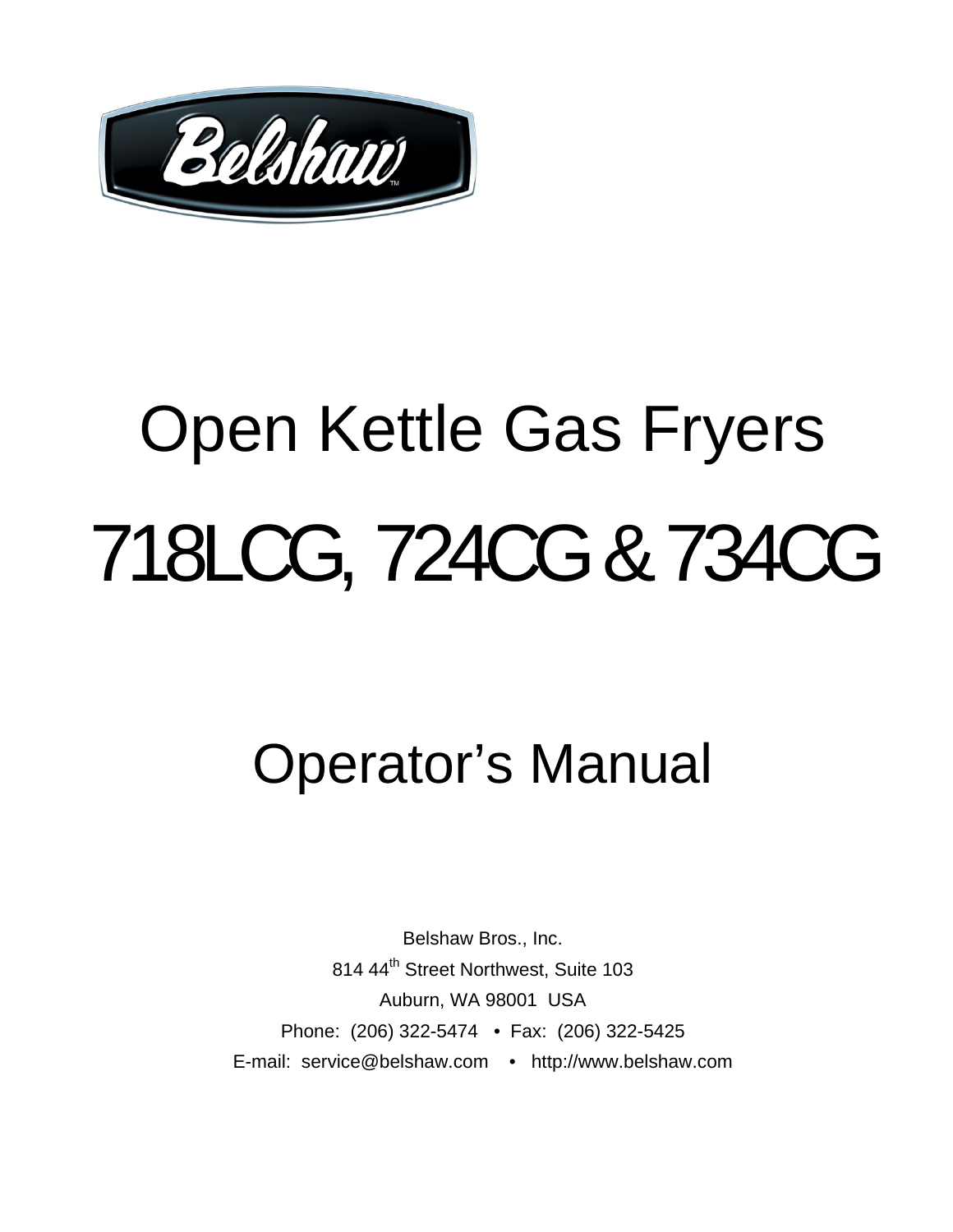

# Open Kettle Gas Fryers 718LCG, 724CG & 734CG

# Operator's Manual

Belshaw Bros., Inc. 814 44<sup>th</sup> Street Northwest, Suite 103 Auburn, WA 98001 USA Phone: (206) 322-5474 • Fax: (206) 322-5425 E-mail: service@belshaw.com • http://www.belshaw.com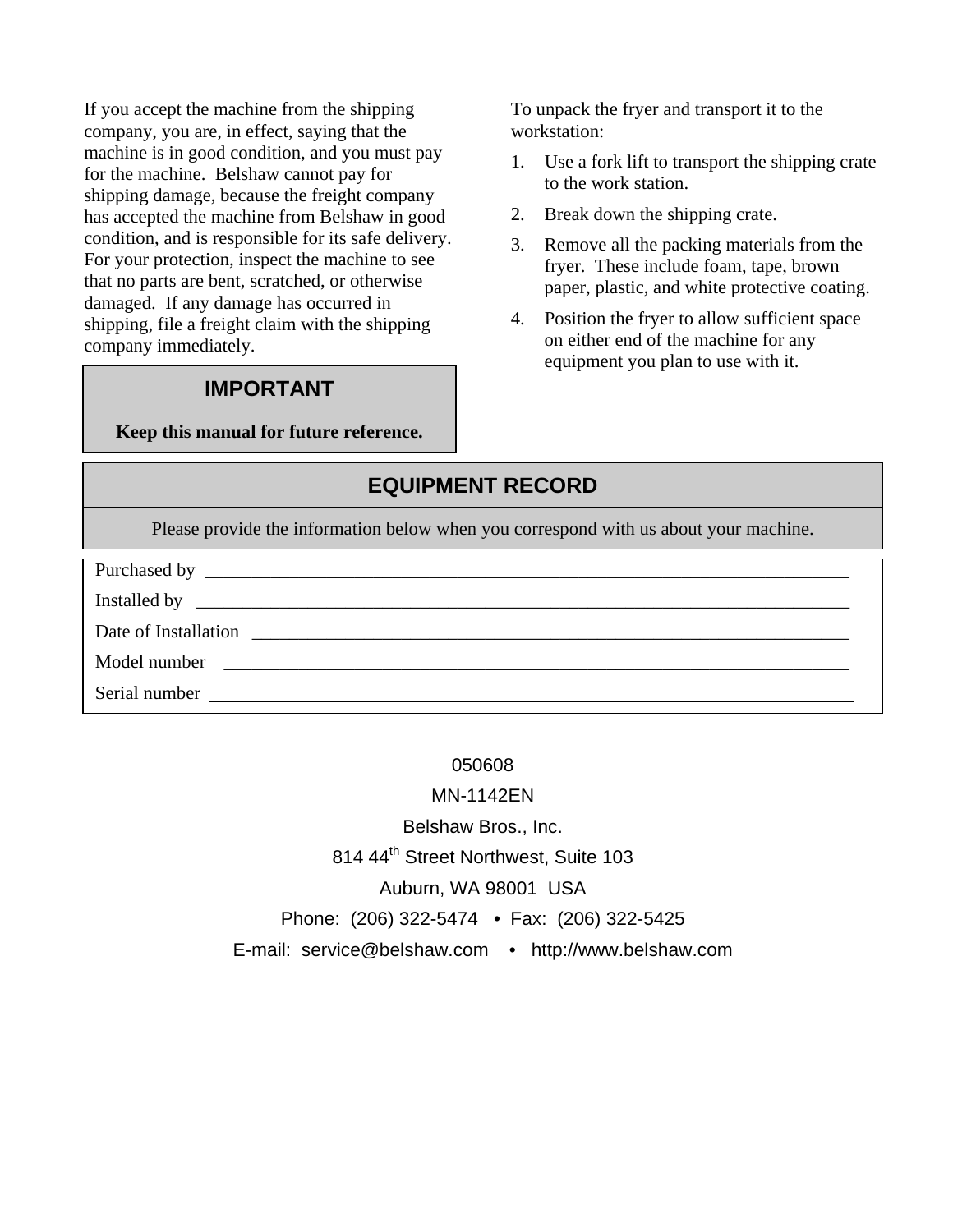If you accept the machine from the shipping company, you are, in effect, saying that the machine is in good condition, and you must pay for the machine. Belshaw cannot pay for shipping damage, because the freight company has accepted the machine from Belshaw in good condition, and is responsible for its safe delivery. For your protection, inspect the machine to see that no parts are bent, scratched, or otherwise damaged. If any damage has occurred in shipping, file a freight claim with the shipping company immediately.

#### **IMPORTANT**

**Keep this manual for future reference.** 

To unpack the fryer and transport it to the workstation:

- 1. Use a fork lift to transport the shipping crate to the work station.
- 2. Break down the shipping crate.
- 3. Remove all the packing materials from the fryer. These include foam, tape, brown paper, plastic, and white protective coating.
- 4. Position the fryer to allow sufficient space on either end of the machine for any equipment you plan to use with it.

#### **EQUIPMENT RECORD**

Please provide the information below when you correspond with us about your machine.

| Date of Installation |
|----------------------|
| Model number         |
| Serial number        |

#### 050608

MN-1142EN

Belshaw Bros., Inc.

814 44<sup>th</sup> Street Northwest, Suite 103

Auburn, WA 98001 USA

Phone: (206) 322-5474 • Fax: (206) 322-5425

E-mail: service@belshaw.com • http://www.belshaw.com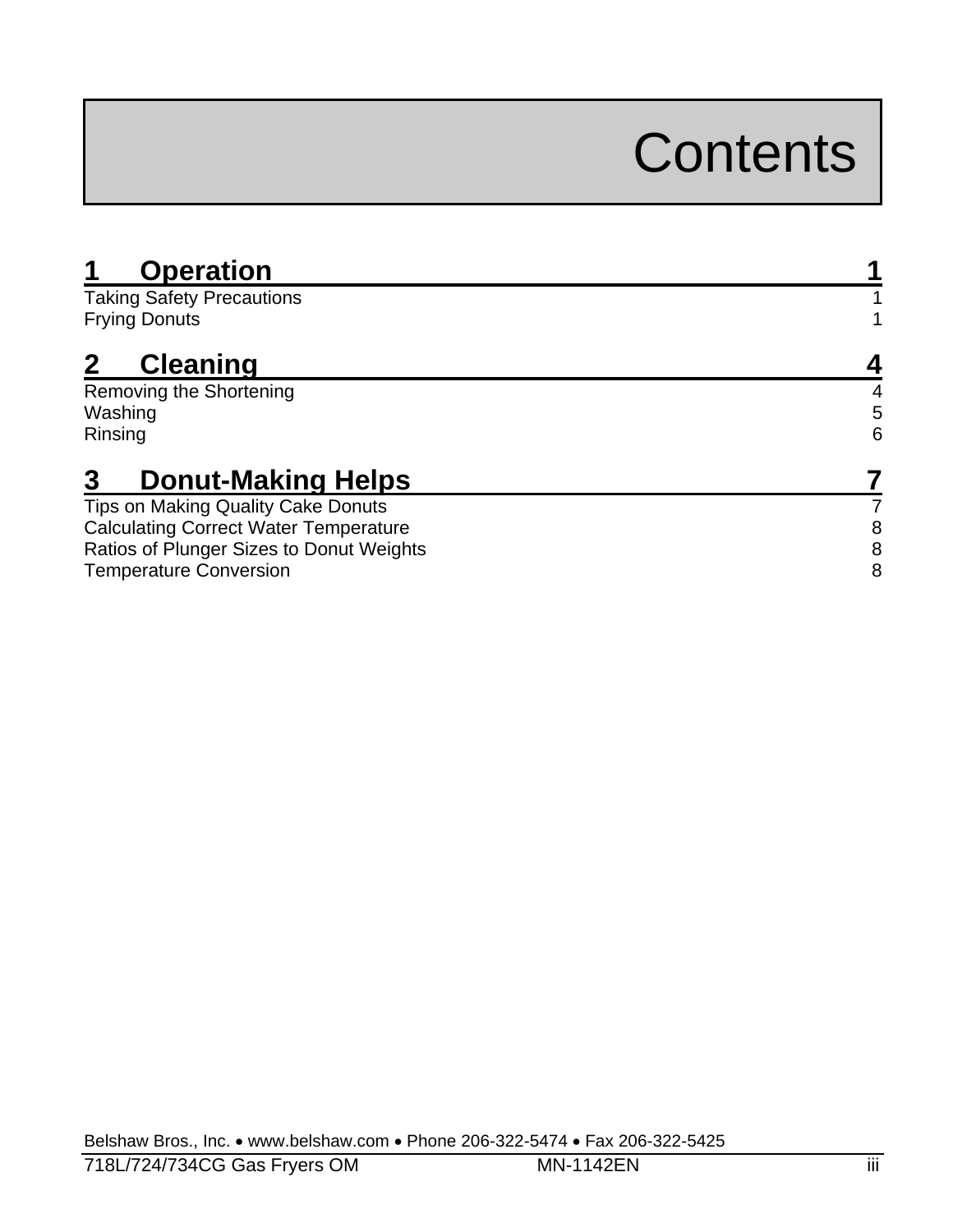# **Contents**

| <b>Operation</b>                             |   |
|----------------------------------------------|---|
| <b>Taking Safety Precautions</b>             |   |
| <b>Frying Donuts</b>                         |   |
| <b>Cleaning</b>                              |   |
| Removing the Shortening                      | 4 |
| Washing                                      | 5 |
| Rinsing                                      | 6 |
| 3<br><b>Donut-Making Helps</b>               |   |
| Tips on Making Quality Cake Donuts           |   |
| <b>Calculating Correct Water Temperature</b> | 8 |
| Ratios of Plunger Sizes to Donut Weights     | 8 |
| <b>Temperature Conversion</b>                | 8 |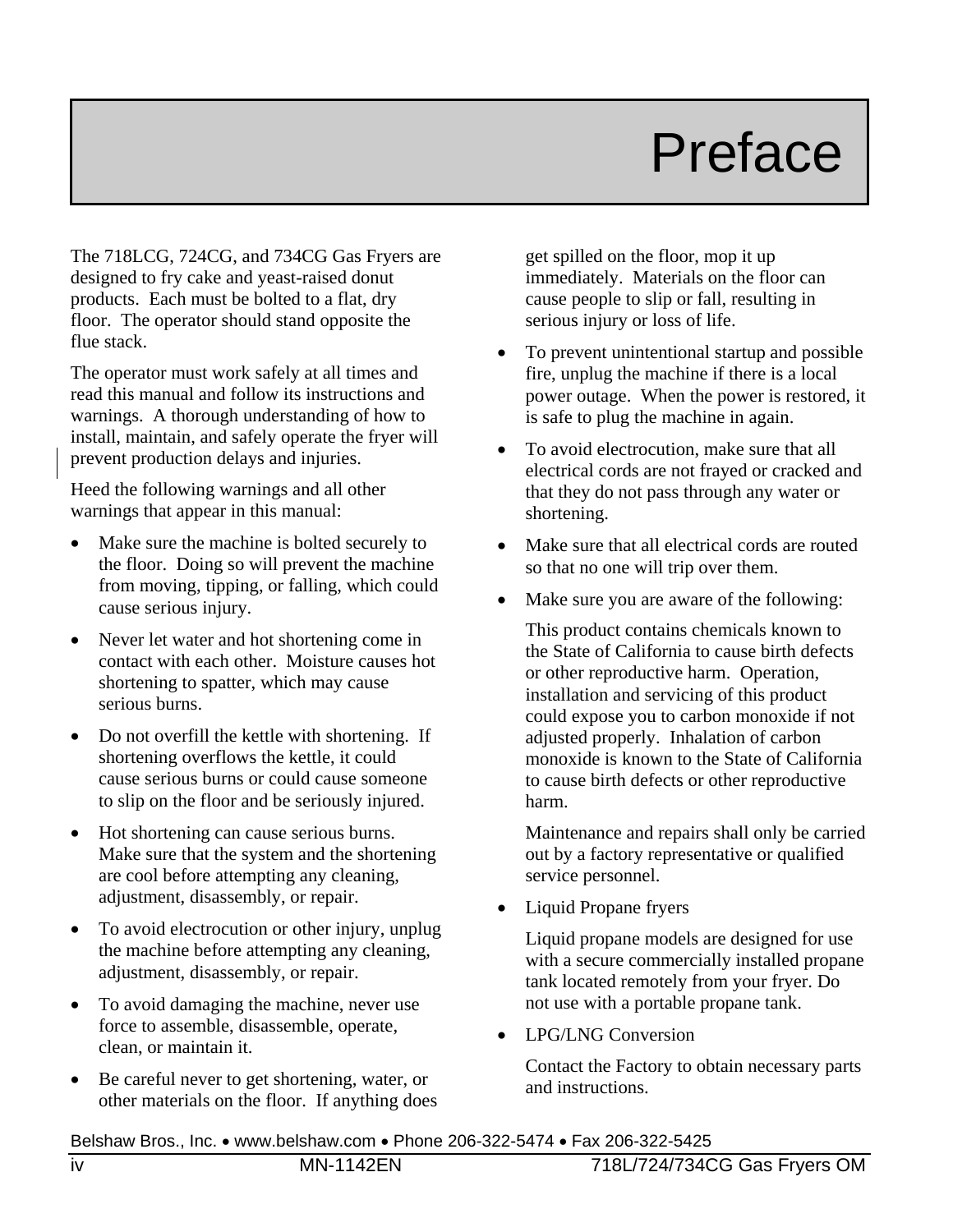# Preface

The 718LCG, 724CG, and 734CG Gas Fryers are designed to fry cake and yeast-raised donut products. Each must be bolted to a flat, dry floor. The operator should stand opposite the flue stack.

The operator must work safely at all times and read this manual and follow its instructions and warnings. A thorough understanding of how to install, maintain, and safely operate the fryer will prevent production delays and injuries.

Heed the following warnings and all other warnings that appear in this manual:

- Make sure the machine is bolted securely to the floor. Doing so will prevent the machine from moving, tipping, or falling, which could cause serious injury.
- Never let water and hot shortening come in contact with each other. Moisture causes hot shortening to spatter, which may cause serious burns.
- Do not overfill the kettle with shortening. If shortening overflows the kettle, it could cause serious burns or could cause someone to slip on the floor and be seriously injured.
- Hot shortening can cause serious burns. Make sure that the system and the shortening are cool before attempting any cleaning, adjustment, disassembly, or repair.
- To avoid electrocution or other injury, unplug the machine before attempting any cleaning, adjustment, disassembly, or repair.
- To avoid damaging the machine, never use force to assemble, disassemble, operate, clean, or maintain it.
- Be careful never to get shortening, water, or other materials on the floor. If anything does

get spilled on the floor, mop it up immediately. Materials on the floor can cause people to slip or fall, resulting in serious injury or loss of life.

- To prevent unintentional startup and possible fire, unplug the machine if there is a local power outage. When the power is restored, it is safe to plug the machine in again.
- To avoid electrocution, make sure that all electrical cords are not frayed or cracked and that they do not pass through any water or shortening.
- Make sure that all electrical cords are routed so that no one will trip over them.
- Make sure you are aware of the following:

This product contains chemicals known to the State of California to cause birth defects or other reproductive harm. Operation, installation and servicing of this product could expose you to carbon monoxide if not adjusted properly. Inhalation of carbon monoxide is known to the State of California to cause birth defects or other reproductive harm.

Maintenance and repairs shall only be carried out by a factory representative or qualified service personnel.

• Liquid Propane fryers

Liquid propane models are designed for use with a secure commercially installed propane tank located remotely from your fryer. Do not use with a portable propane tank.

• LPG/LNG Conversion

Contact the Factory to obtain necessary parts and instructions.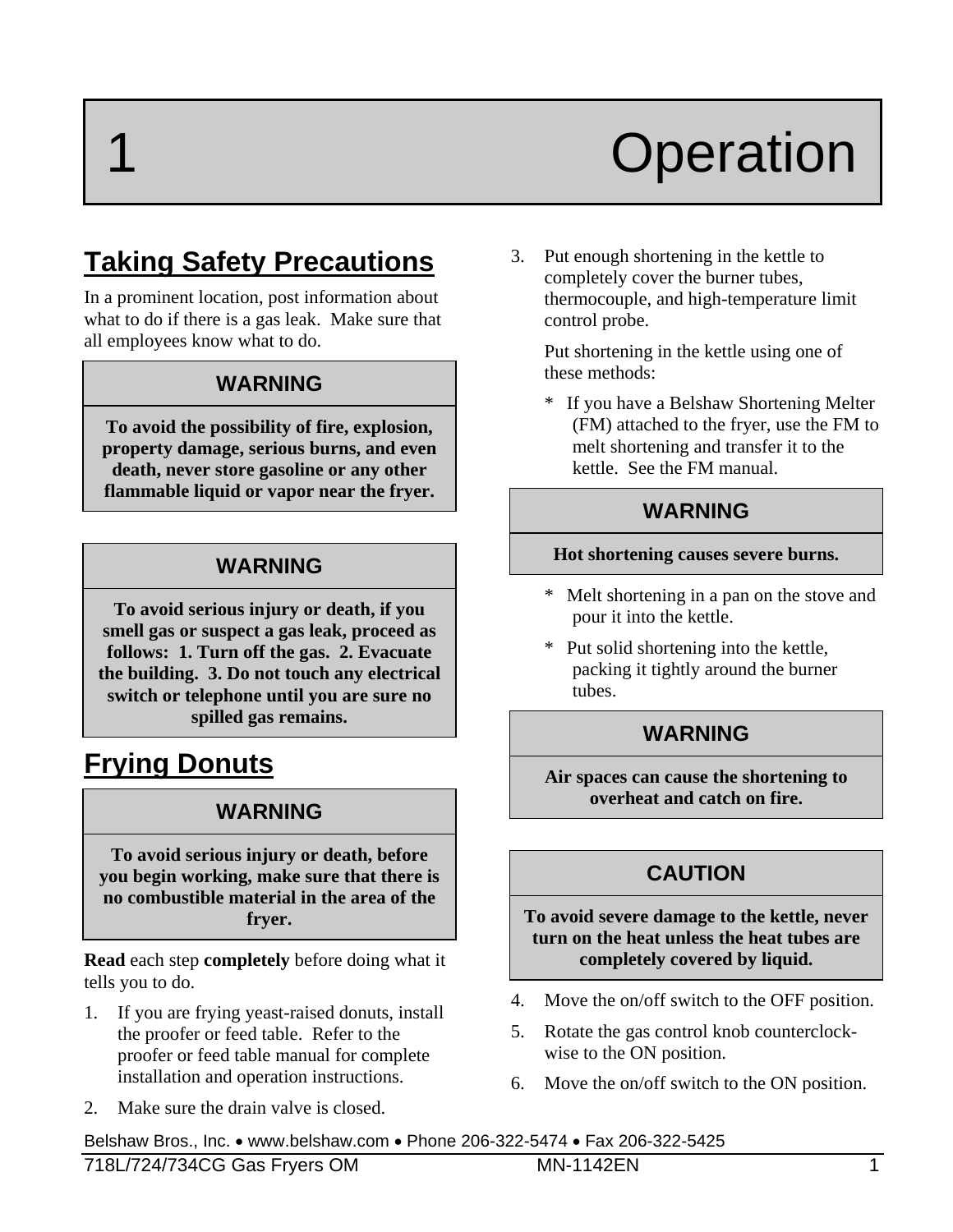# **Operation**

# **Taking Safety Precautions**

In a prominent location, post information about what to do if there is a gas leak. Make sure that all employees know what to do.

#### **WARNING**

**To avoid the possibility of fire, explosion, property damage, serious burns, and even death, never store gasoline or any other flammable liquid or vapor near the fryer.** 

#### **WARNING**

**To avoid serious injury or death, if you smell gas or suspect a gas leak, proceed as follows: 1. Turn off the gas. 2. Evacuate the building. 3. Do not touch any electrical switch or telephone until you are sure no spilled gas remains.** 

# **Frying Donuts**

#### **WARNING**

**To avoid serious injury or death, before you begin working, make sure that there is no combustible material in the area of the fryer.** 

**Read** each step **completely** before doing what it tells you to do.

- 1. If you are frying yeast-raised donuts, install the proofer or feed table. Refer to the proofer or feed table manual for complete installation and operation instructions.
- 2. Make sure the drain valve is closed.

3. Put enough shortening in the kettle to completely cover the burner tubes, thermocouple, and high-temperature limit control probe.

 Put shortening in the kettle using one of these methods:

\* If you have a Belshaw Shortening Melter (FM) attached to the fryer, use the FM to melt shortening and transfer it to the kettle. See the FM manual.

#### **WARNING**

#### **Hot shortening causes severe burns.**

- \* Melt shortening in a pan on the stove and pour it into the kettle.
- \* Put solid shortening into the kettle, packing it tightly around the burner tubes.

#### **WARNING**

**Air spaces can cause the shortening to overheat and catch on fire.** 

#### **CAUTION**

**To avoid severe damage to the kettle, never turn on the heat unless the heat tubes are completely covered by liquid.** 

- 4. Move the on/off switch to the OFF position.
- 5. Rotate the gas control knob counterclockwise to the ON position.
- 6. Move the on/off switch to the ON position.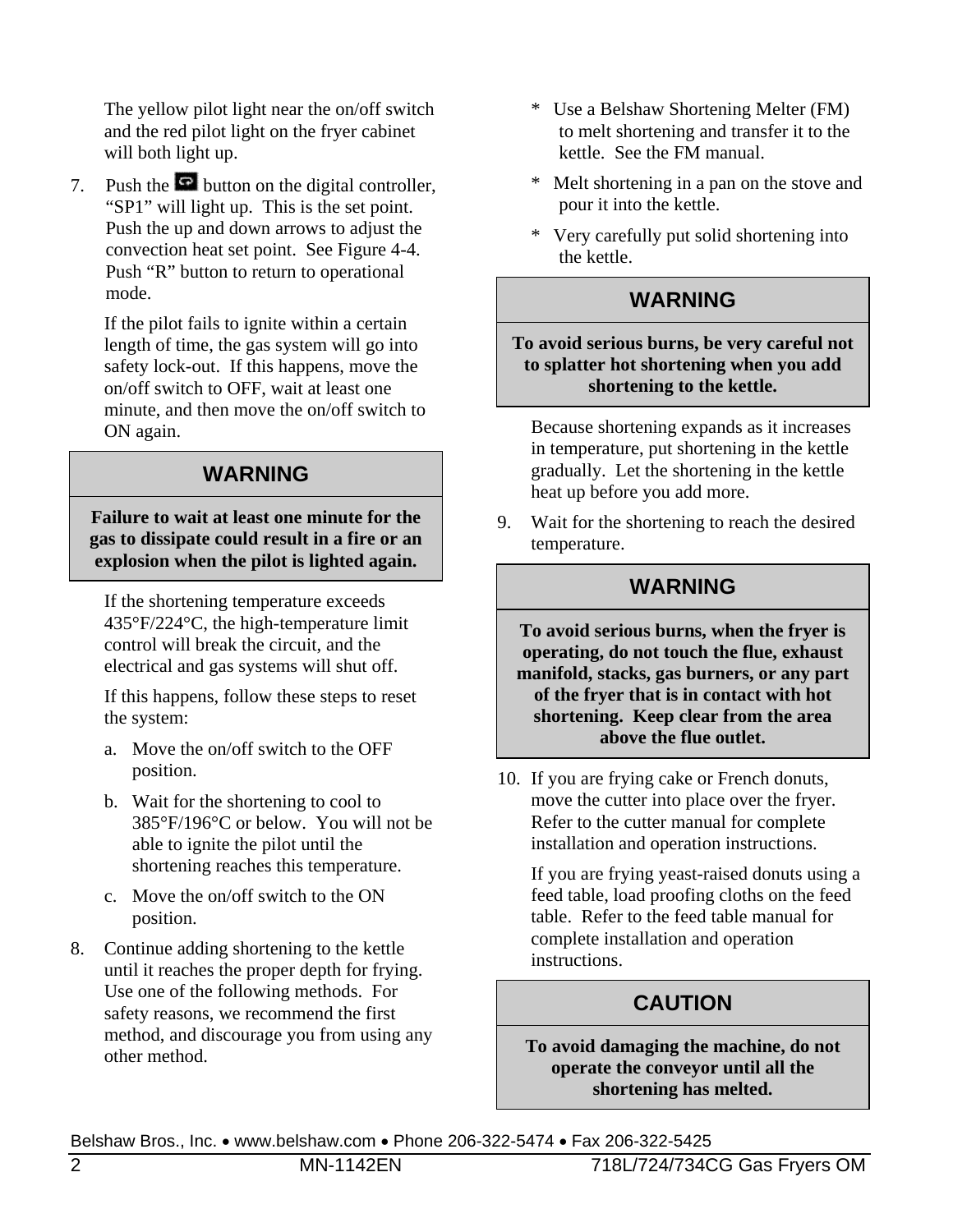The yellow pilot light near the on/off switch and the red pilot light on the fryer cabinet will both light up.

7. Push the  $\overline{P}$  button on the digital controller, "SP1" will light up. This is the set point. Push the up and down arrows to adjust the convection heat set point. See Figure 4-4. Push "R" button to return to operational mode.

 If the pilot fails to ignite within a certain length of time, the gas system will go into safety lock-out. If this happens, move the on/off switch to OFF, wait at least one minute, and then move the on/off switch to ON again.

#### **WARNING**

**Failure to wait at least one minute for the gas to dissipate could result in a fire or an explosion when the pilot is lighted again.** 

 If the shortening temperature exceeds 435°F/224°C, the high-temperature limit control will break the circuit, and the electrical and gas systems will shut off.

 If this happens, follow these steps to reset the system:

- a. Move the on/off switch to the OFF position.
- b. Wait for the shortening to cool to 385°F/196°C or below. You will not be able to ignite the pilot until the shortening reaches this temperature.
- c. Move the on/off switch to the ON position.
- 8. Continue adding shortening to the kettle until it reaches the proper depth for frying. Use one of the following methods. For safety reasons, we recommend the first method, and discourage you from using any other method.
- \* Use a Belshaw Shortening Melter (FM) to melt shortening and transfer it to the kettle. See the FM manual.
- \* Melt shortening in a pan on the stove and pour it into the kettle.
- \* Very carefully put solid shortening into the kettle.

#### **WARNING**

**To avoid serious burns, be very careful not to splatter hot shortening when you add shortening to the kettle.** 

 Because shortening expands as it increases in temperature, put shortening in the kettle gradually. Let the shortening in the kettle heat up before you add more.

9. Wait for the shortening to reach the desired temperature.

#### **WARNING**

**To avoid serious burns, when the fryer is operating, do not touch the flue, exhaust manifold, stacks, gas burners, or any part of the fryer that is in contact with hot shortening. Keep clear from the area above the flue outlet.** 

10. If you are frying cake or French donuts, move the cutter into place over the fryer. Refer to the cutter manual for complete installation and operation instructions.

 If you are frying yeast-raised donuts using a feed table, load proofing cloths on the feed table. Refer to the feed table manual for complete installation and operation instructions.

#### **CAUTION**

**To avoid damaging the machine, do not operate the conveyor until all the shortening has melted.**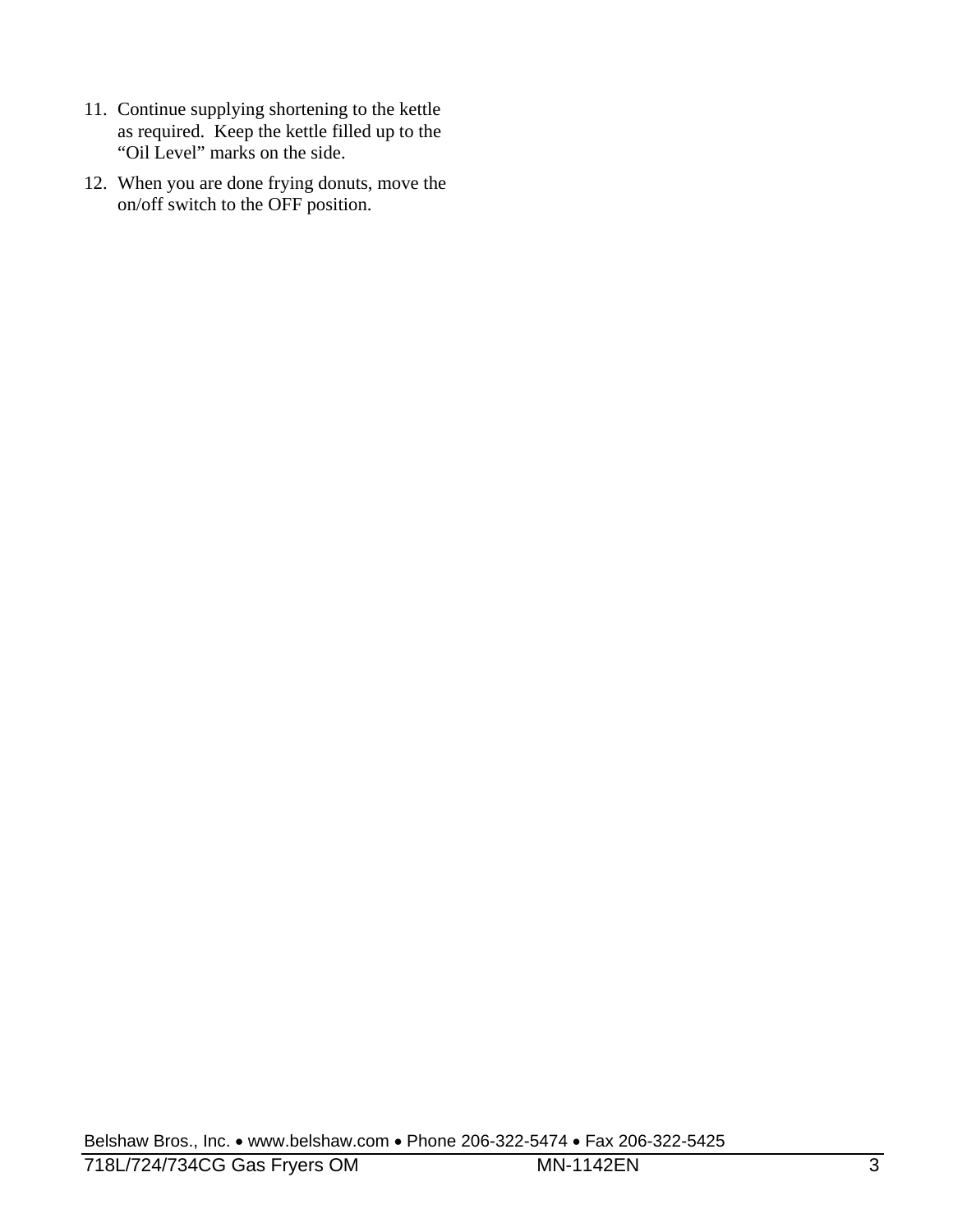- 11. Continue supplying shortening to the kettle as required. Keep the kettle filled up to the "Oil Level" marks on the side.
- 12. When you are done frying donuts, move the on/off switch to the OFF position.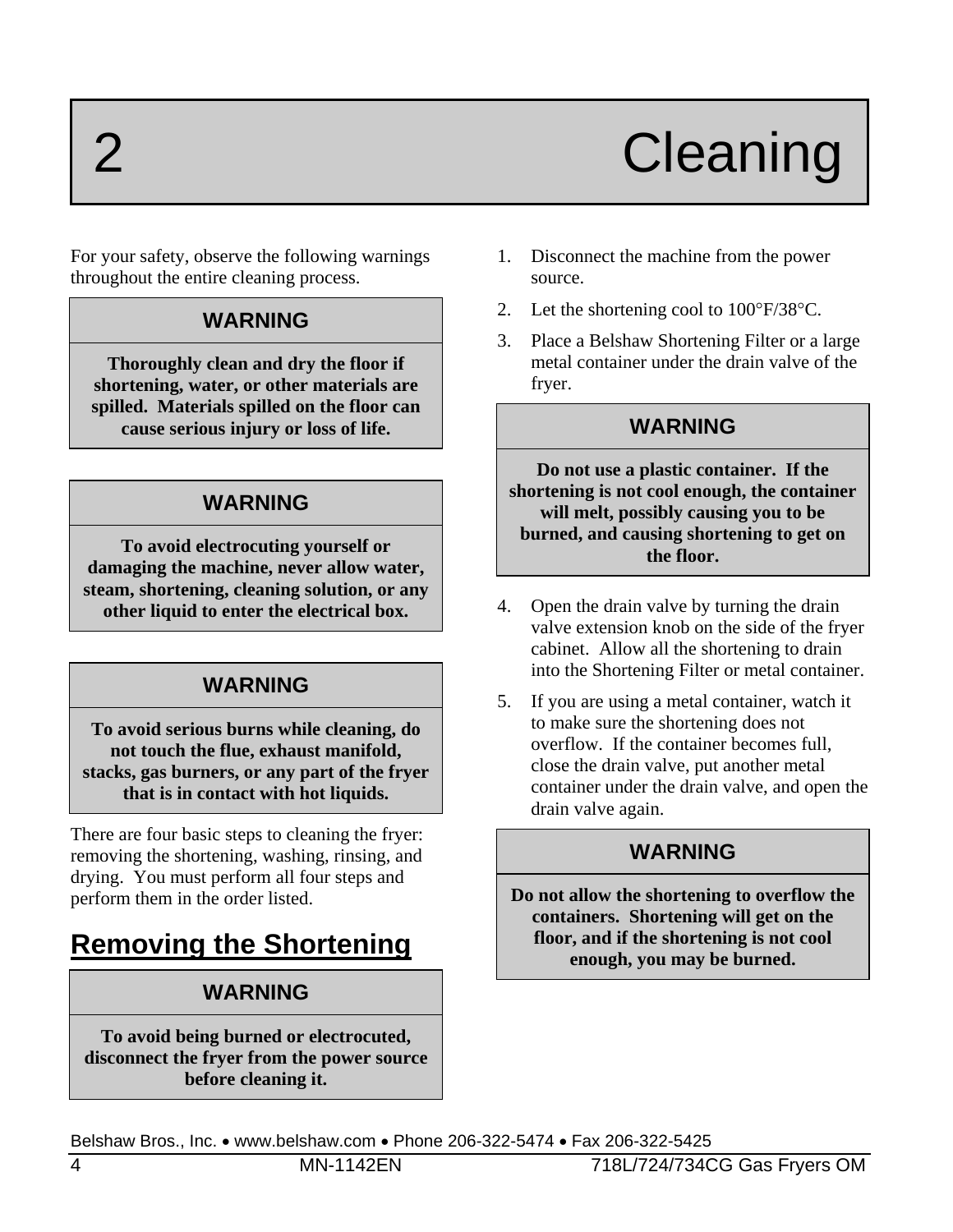# 2 Cleaning

For your safety, observe the following warnings throughout the entire cleaning process.

#### **WARNING**

**Thoroughly clean and dry the floor if shortening, water, or other materials are spilled. Materials spilled on the floor can cause serious injury or loss of life.** 

#### **WARNING**

**To avoid electrocuting yourself or damaging the machine, never allow water, steam, shortening, cleaning solution, or any other liquid to enter the electrical box.** 

#### **WARNING**

**To avoid serious burns while cleaning, do not touch the flue, exhaust manifold, stacks, gas burners, or any part of the fryer that is in contact with hot liquids.** 

There are four basic steps to cleaning the fryer: removing the shortening, washing, rinsing, and drying. You must perform all four steps and perform them in the order listed.

# **Removing the Shortening**

#### **WARNING**

**To avoid being burned or electrocuted, disconnect the fryer from the power source before cleaning it.** 

- 1. Disconnect the machine from the power source.
- 2. Let the shortening cool to  $100^{\circ}F/38^{\circ}C$ .
- 3. Place a Belshaw Shortening Filter or a large metal container under the drain valve of the fryer.

#### **WARNING**

**Do not use a plastic container. If the shortening is not cool enough, the container will melt, possibly causing you to be burned, and causing shortening to get on the floor.** 

- 4. Open the drain valve by turning the drain valve extension knob on the side of the fryer cabinet. Allow all the shortening to drain into the Shortening Filter or metal container.
- 5. If you are using a metal container, watch it to make sure the shortening does not overflow. If the container becomes full, close the drain valve, put another metal container under the drain valve, and open the drain valve again.

#### **WARNING**

**Do not allow the shortening to overflow the containers. Shortening will get on the floor, and if the shortening is not cool enough, you may be burned.**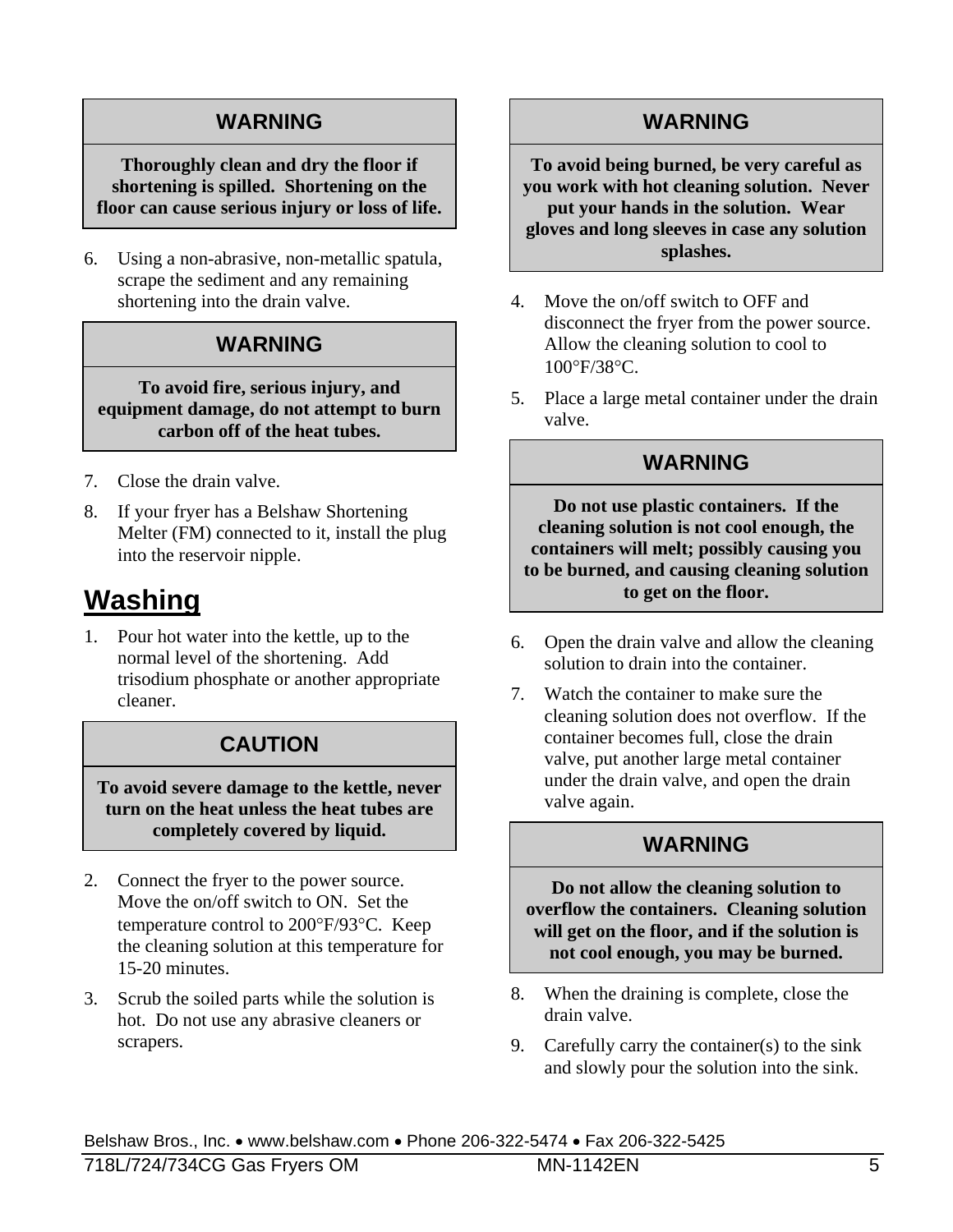#### **WARNING**

#### **Thoroughly clean and dry the floor if shortening is spilled. Shortening on the floor can cause serious injury or loss of life.**

6. Using a non-abrasive, non-metallic spatula, scrape the sediment and any remaining shortening into the drain valve.

#### **WARNING**

**To avoid fire, serious injury, and equipment damage, do not attempt to burn carbon off of the heat tubes.** 

- 7. Close the drain valve.
- 8. If your fryer has a Belshaw Shortening Melter (FM) connected to it, install the plug into the reservoir nipple.

## **Washing**

1. Pour hot water into the kettle, up to the normal level of the shortening. Add trisodium phosphate or another appropriate cleaner.

#### **CAUTION**

**To avoid severe damage to the kettle, never turn on the heat unless the heat tubes are completely covered by liquid.** 

- 2. Connect the fryer to the power source. Move the on/off switch to ON. Set the temperature control to 200°F/93°C. Keep the cleaning solution at this temperature for 15-20 minutes.
- 3. Scrub the soiled parts while the solution is hot. Do not use any abrasive cleaners or scrapers.

#### **WARNING**

**To avoid being burned, be very careful as you work with hot cleaning solution. Never put your hands in the solution. Wear gloves and long sleeves in case any solution splashes.** 

- 4. Move the on/off switch to OFF and disconnect the fryer from the power source. Allow the cleaning solution to cool to 100°F/38°C.
- 5. Place a large metal container under the drain valve.

#### **WARNING**

**Do not use plastic containers. If the cleaning solution is not cool enough, the containers will melt; possibly causing you to be burned, and causing cleaning solution to get on the floor.** 

- 6. Open the drain valve and allow the cleaning solution to drain into the container.
- 7. Watch the container to make sure the cleaning solution does not overflow. If the container becomes full, close the drain valve, put another large metal container under the drain valve, and open the drain valve again.

#### **WARNING**

**Do not allow the cleaning solution to overflow the containers. Cleaning solution will get on the floor, and if the solution is not cool enough, you may be burned.** 

- 8. When the draining is complete, close the drain valve.
- 9. Carefully carry the container(s) to the sink and slowly pour the solution into the sink.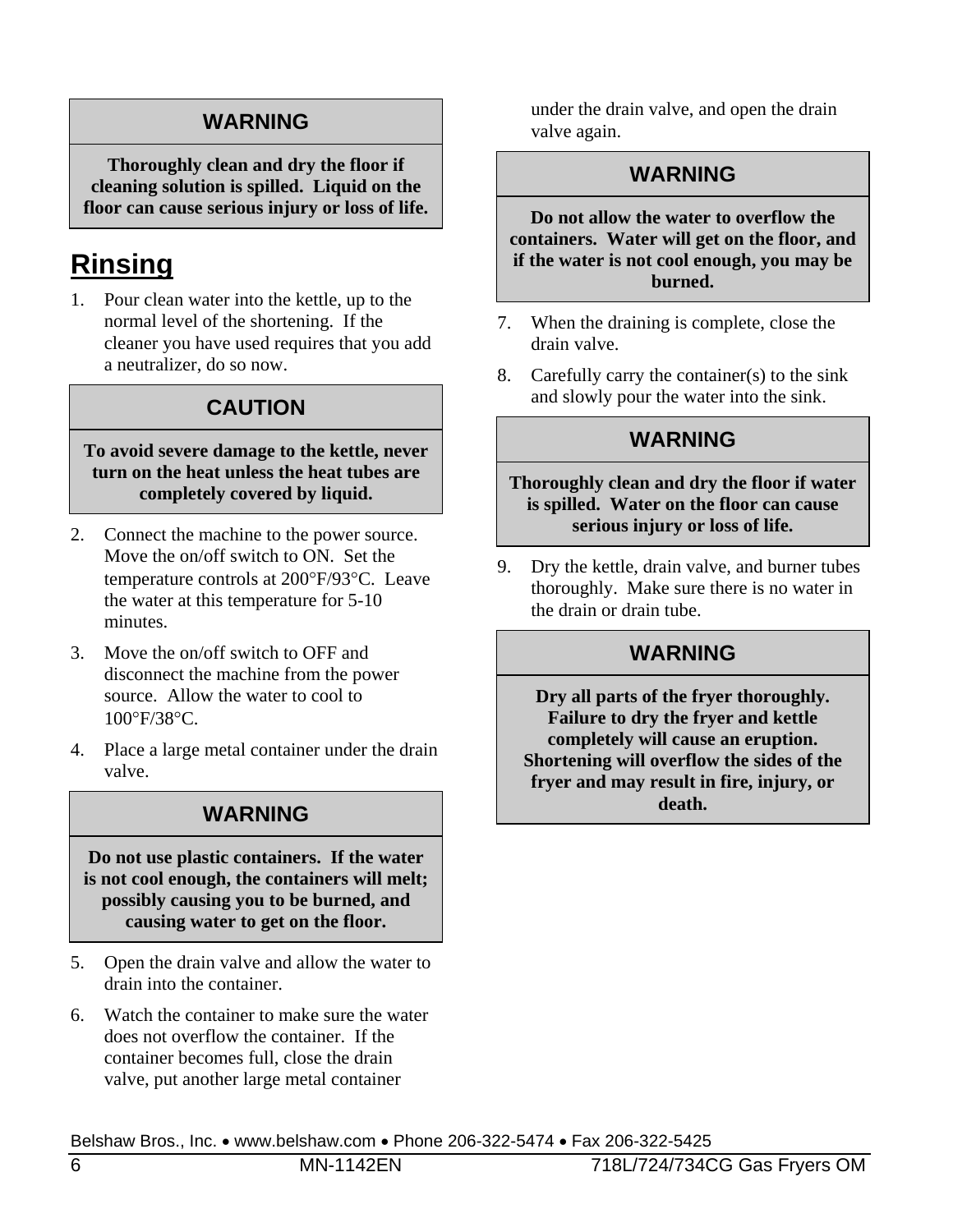#### **WARNING**

**Thoroughly clean and dry the floor if cleaning solution is spilled. Liquid on the floor can cause serious injury or loss of life.** 

# **Rinsing**

1. Pour clean water into the kettle, up to the normal level of the shortening. If the cleaner you have used requires that you add a neutralizer, do so now.

#### **CAUTION**

#### **To avoid severe damage to the kettle, never turn on the heat unless the heat tubes are completely covered by liquid.**

- 2. Connect the machine to the power source. Move the on/off switch to ON. Set the temperature controls at 200°F/93°C. Leave the water at this temperature for 5-10 minutes.
- 3. Move the on/off switch to OFF and disconnect the machine from the power source. Allow the water to cool to 100°F/38°C.
- 4. Place a large metal container under the drain valve.

#### **WARNING**

**Do not use plastic containers. If the water is not cool enough, the containers will melt; possibly causing you to be burned, and causing water to get on the floor.** 

- 5. Open the drain valve and allow the water to drain into the container.
- 6. Watch the container to make sure the water does not overflow the container. If the container becomes full, close the drain valve, put another large metal container

under the drain valve, and open the drain valve again.

#### **WARNING**

**Do not allow the water to overflow the containers. Water will get on the floor, and if the water is not cool enough, you may be burned.** 

- 7. When the draining is complete, close the drain valve.
- 8. Carefully carry the container(s) to the sink and slowly pour the water into the sink.

#### **WARNING**

**Thoroughly clean and dry the floor if water is spilled. Water on the floor can cause serious injury or loss of life.** 

9. Dry the kettle, drain valve, and burner tubes thoroughly. Make sure there is no water in the drain or drain tube.

#### **WARNING**

**Dry all parts of the fryer thoroughly. Failure to dry the fryer and kettle completely will cause an eruption. Shortening will overflow the sides of the fryer and may result in fire, injury, or death.**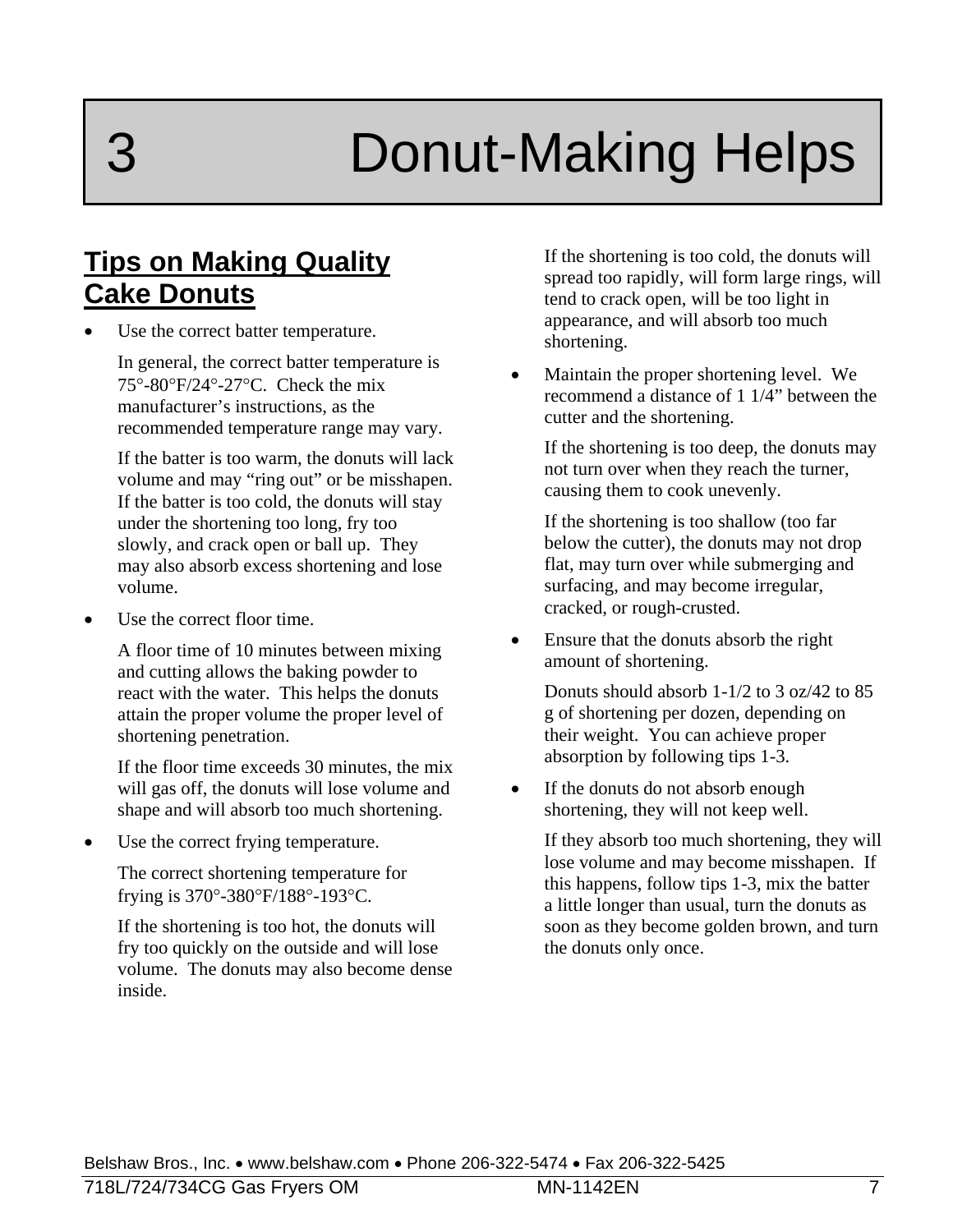# Donut-Making Helps

### **Tips on Making Quality Cake Donuts**

Use the correct batter temperature.

 In general, the correct batter temperature is  $75^{\circ}$ -80 $^{\circ}$ F/24 $^{\circ}$ -27 $^{\circ}$ C. Check the mix manufacturer's instructions, as the recommended temperature range may vary.

 If the batter is too warm, the donuts will lack volume and may "ring out" or be misshapen. If the batter is too cold, the donuts will stay under the shortening too long, fry too slowly, and crack open or ball up. They may also absorb excess shortening and lose volume.

Use the correct floor time.

 A floor time of 10 minutes between mixing and cutting allows the baking powder to react with the water. This helps the donuts attain the proper volume the proper level of shortening penetration.

 If the floor time exceeds 30 minutes, the mix will gas off, the donuts will lose volume and shape and will absorb too much shortening.

Use the correct frying temperature.

 The correct shortening temperature for frying is  $370^{\circ}$ -380 $^{\circ}$ F/188 $^{\circ}$ -193 $^{\circ}$ C.

 If the shortening is too hot, the donuts will fry too quickly on the outside and will lose volume. The donuts may also become dense inside.

If the shortening is too cold, the donuts will spread too rapidly, will form large rings, will tend to crack open, will be too light in appearance, and will absorb too much shortening.

 Maintain the proper shortening level. We recommend a distance of 1 1/4" between the cutter and the shortening.

 If the shortening is too deep, the donuts may not turn over when they reach the turner, causing them to cook unevenly.

 If the shortening is too shallow (too far below the cutter), the donuts may not drop flat, may turn over while submerging and surfacing, and may become irregular, cracked, or rough-crusted.

• Ensure that the donuts absorb the right amount of shortening.

 Donuts should absorb 1-1/2 to 3 oz/42 to 85 g of shortening per dozen, depending on their weight. You can achieve proper absorption by following tips 1-3.

• If the donuts do not absorb enough shortening, they will not keep well.

> If they absorb too much shortening, they will lose volume and may become misshapen. If this happens, follow tips 1-3, mix the batter a little longer than usual, turn the donuts as soon as they become golden brown, and turn the donuts only once.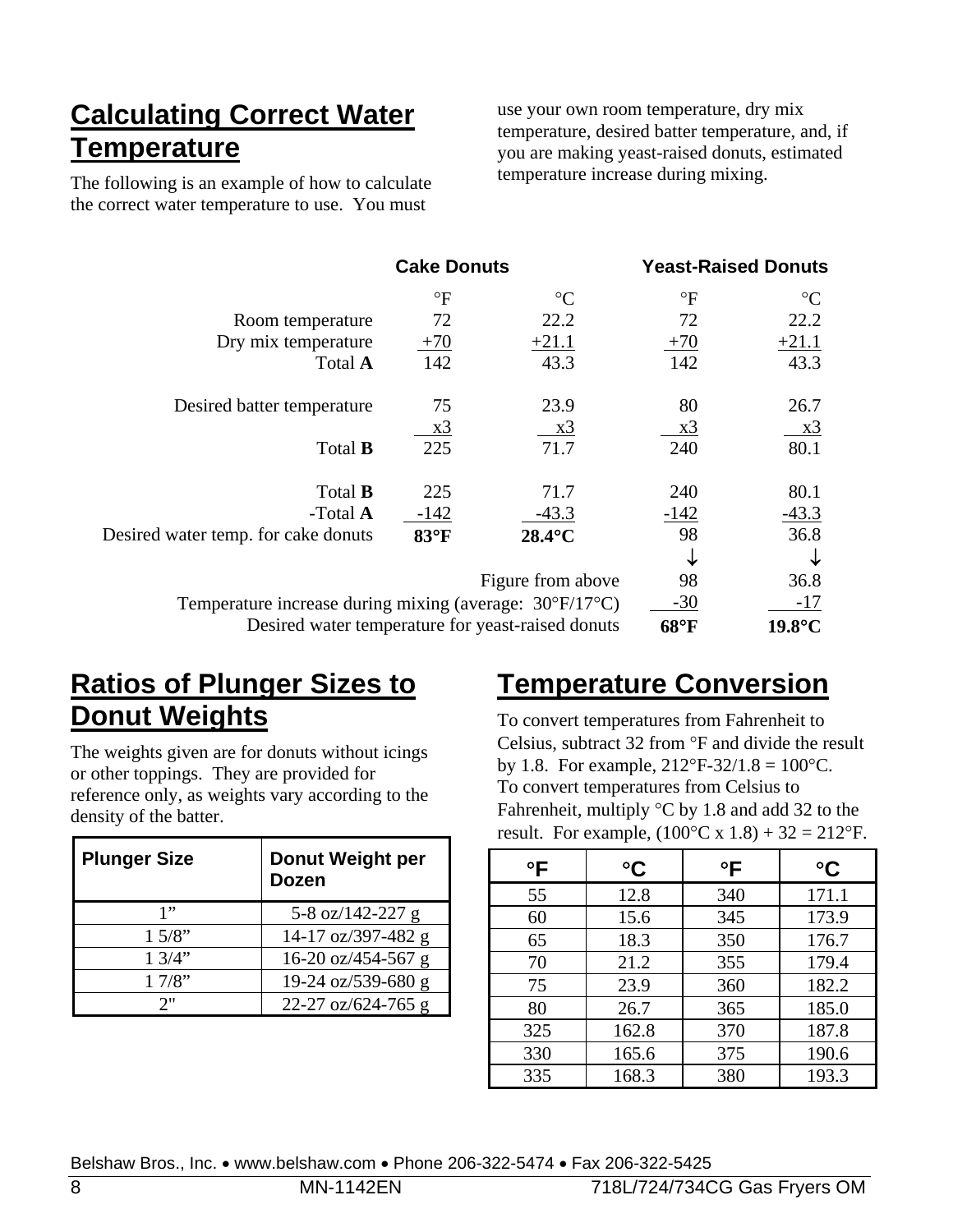### **Calculating Correct Water Temperature**

The following is an example of how to calculate the correct water temperature to use. You must

use your own room temperature, dry mix temperature, desired batter temperature, and, if you are making yeast-raised donuts, estimated temperature increase during mixing.

|                                                                          | <b>Cake Donuts</b> |                                                   |                      | <b>Yeast-Raised Donuts</b> |
|--------------------------------------------------------------------------|--------------------|---------------------------------------------------|----------------------|----------------------------|
|                                                                          | $\mathrm{P}$       | $\rm ^{\circ}C$                                   | $\mathrm{^{\circ}F}$ | $\rm ^{\circ}C$            |
| Room temperature                                                         | 72                 | 22.2                                              | 72                   | 22.2                       |
| Dry mix temperature                                                      | $+70$              | $+21.1$                                           | $+70$                | $+21.1$                    |
| Total A                                                                  | 142                | 43.3                                              | 142                  | 43.3                       |
| Desired batter temperature                                               | 75                 | 23.9                                              | 80                   | 26.7                       |
|                                                                          | <u>x3</u>          | <u>x3</u>                                         | <u>x3</u>            | <u>x3</u>                  |
| Total <b>B</b>                                                           | 225                | 71.7                                              | 240                  | 80.1                       |
| Total <b>B</b>                                                           | 225                | 71.7                                              | 240                  | 80.1                       |
| -Total A                                                                 | $-142$             | $-43.3$                                           | $-142$               | $-43.3$                    |
| Desired water temp. for cake donuts                                      | 83°F               | 28.4°C                                            | 98                   | 36.8                       |
|                                                                          |                    |                                                   |                      | ↓                          |
|                                                                          |                    | Figure from above                                 | 98                   | 36.8                       |
| Temperature increase during mixing (average: $30^{\circ}F/17^{\circ}C$ ) |                    |                                                   | $-30$                | $-17$                      |
|                                                                          |                    | Desired water temperature for yeast-raised donuts | 68°F                 | $19.8$ °C                  |

### **Ratios of Plunger Sizes to Donut Weights**

The weights given are for donuts without icings or other toppings. They are provided for reference only, as weights vary according to the density of the batter.

| <b>Plunger Size</b> | Donut Weight per<br><b>Dozen</b> |
|---------------------|----------------------------------|
| 1"                  | 5-8 oz/142-227 g                 |
| 1.5/8"              | 14-17 oz/397-482 g               |
| 1.3/4"              | 16-20 oz/454-567 g               |
| 17/8"               | 19-24 oz/539-680 g               |
| 2"                  | 22-27 oz/624-765 g               |

# **Temperature Conversion**

To convert temperatures from Fahrenheit to Celsius, subtract  $32$  from  $\degree$ F and divide the result by 1.8. For example,  $212^{\circ}F-32/1.8 = 100^{\circ}C$ . To convert temperatures from Celsius to Fahrenheit, multiply  $\degree$ C by 1.8 and add 32 to the result. For example,  $(100^{\circ}C \times 1.8) + 32 = 212^{\circ}F$ .

| $\circ$ F | $\rm ^{\circ}C$ | $\circ$ F | $\rm ^{\circ}C$ |
|-----------|-----------------|-----------|-----------------|
| 55        | 12.8            | 340       | 171.1           |
| 60        | 15.6            | 345       | 173.9           |
| 65        | 18.3            | 350       | 176.7           |
| 70        | 21.2            | 355       | 179.4           |
| 75        | 23.9            | 360       | 182.2           |
| 80        | 26.7            | 365       | 185.0           |
| 325       | 162.8           | 370       | 187.8           |
| 330       | 165.6           | 375       | 190.6           |
| 335       | 168.3           | 380       | 193.3           |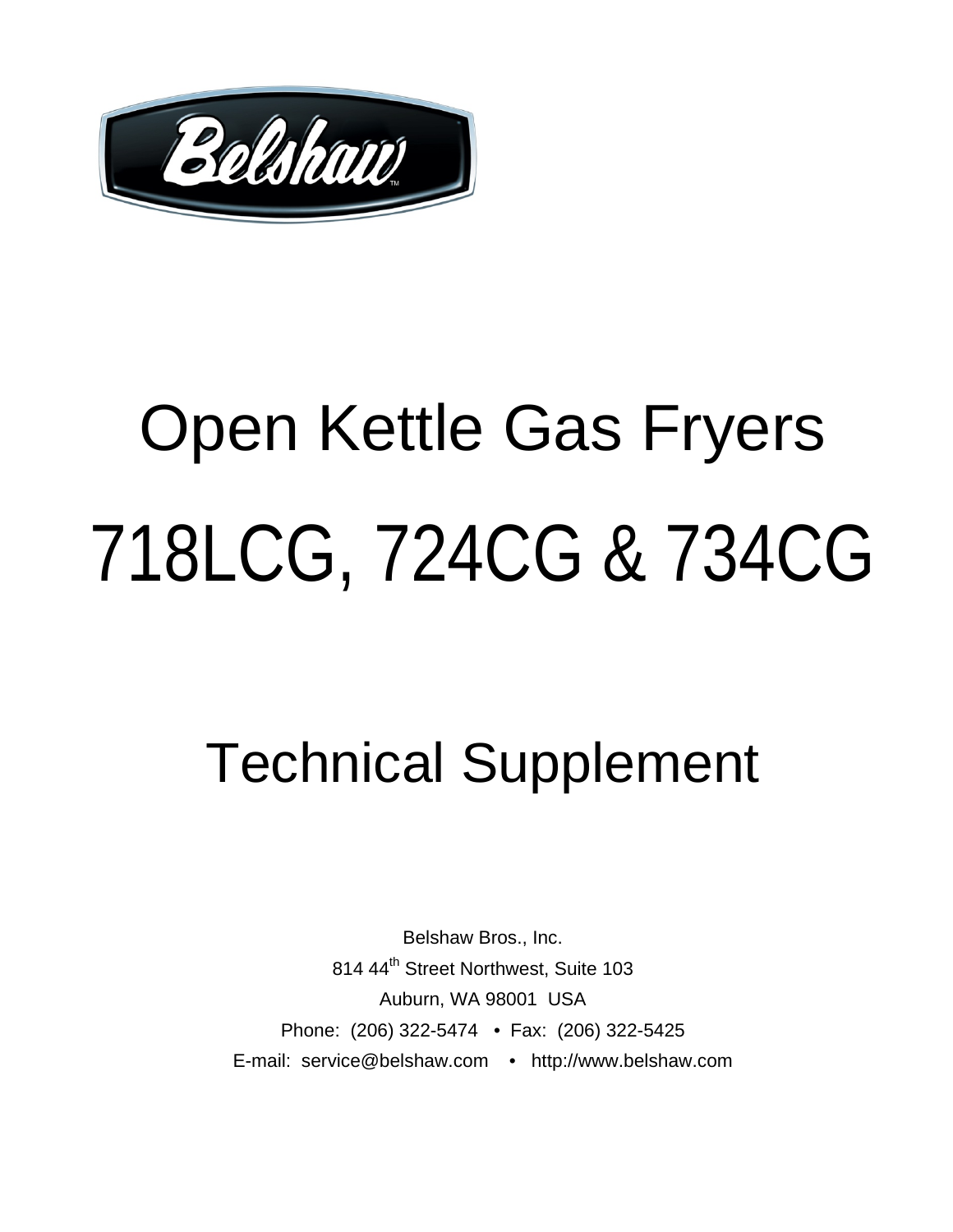

# Open Kettle Gas Fryers 718LCG, 724CG & 734CG

# Technical Supplement

Belshaw Bros., Inc. 814 44<sup>th</sup> Street Northwest, Suite 103 Auburn, WA 98001 USA Phone: (206) 322-5474 • Fax: (206) 322-5425 E-mail: service@belshaw.com • http://www.belshaw.com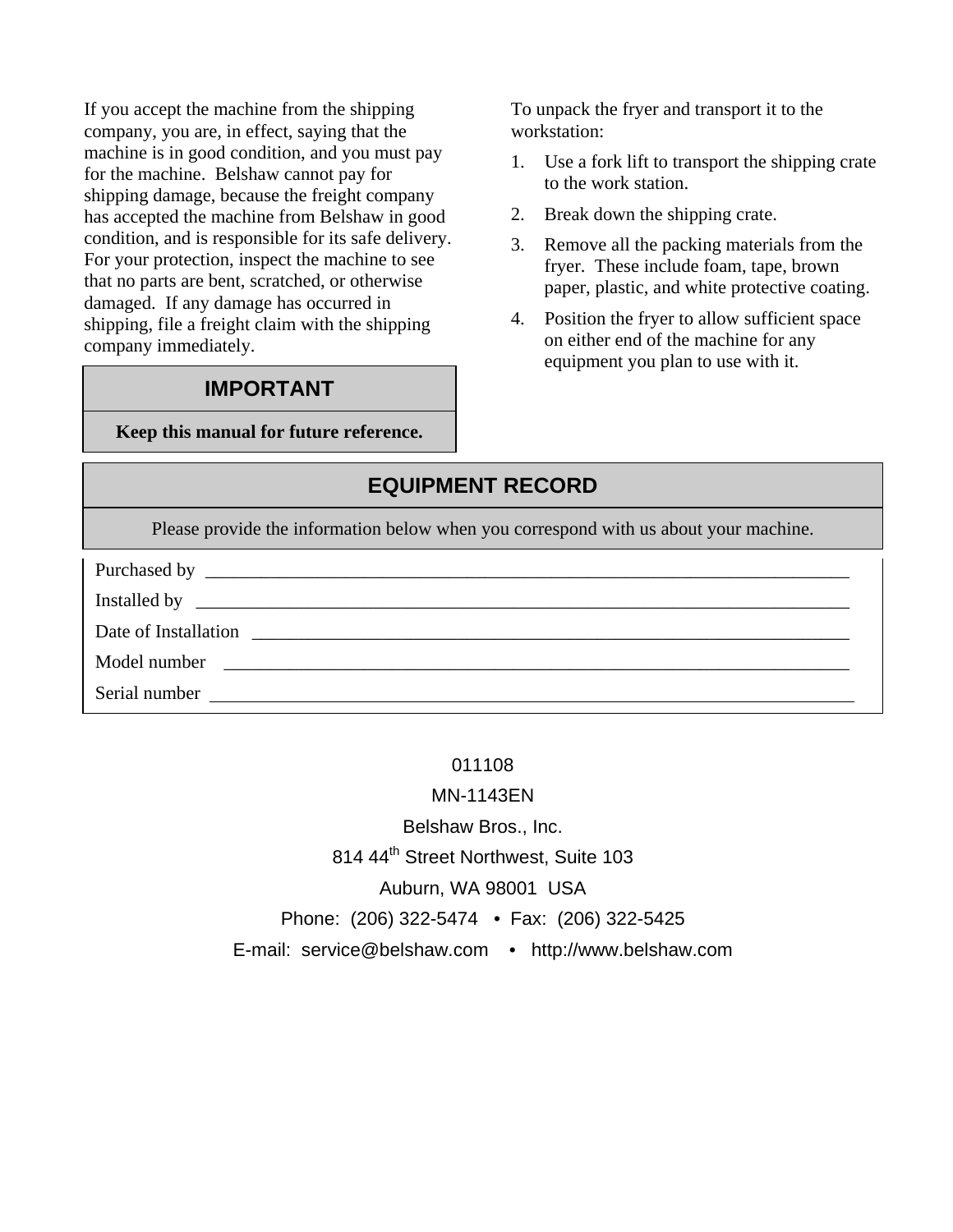If you accept the machine from the shipping company, you are, in effect, saying that the machine is in good condition, and you must pay for the machine. Belshaw cannot pay for shipping damage, because the freight company has accepted the machine from Belshaw in good condition, and is responsible for its safe delivery. For your protection, inspect the machine to see that no parts are bent, scratched, or otherwise damaged. If any damage has occurred in shipping, file a freight claim with the shipping company immediately.

#### **IMPORTANT**

**Keep this manual for future reference.** 

To unpack the fryer and transport it to the workstation:

- 1. Use a fork lift to transport the shipping crate to the work station.
- 2. Break down the shipping crate.
- 3. Remove all the packing materials from the fryer. These include foam, tape, brown paper, plastic, and white protective coating.
- 4. Position the fryer to allow sufficient space on either end of the machine for any equipment you plan to use with it.

#### **EQUIPMENT RECORD**

Please provide the information below when you correspond with us about your machine.

| Date of Installation | <u> 1980 - Jan Barnett, fransk kongresu (d. 1980)</u>            |
|----------------------|------------------------------------------------------------------|
| Model number         | <u> 1980 - Jan James James Barnett, fransk politik (d. 1980)</u> |
| Serial number        | <u> 1989 - John Stone, Amerikaansk politiker († 1989)</u>        |

#### 011108

MN-1143EN

Belshaw Bros., Inc.

814 44<sup>th</sup> Street Northwest, Suite 103

Auburn, WA 98001 USA

Phone: (206) 322-5474 • Fax: (206) 322-5425

E-mail: service@belshaw.com • http://www.belshaw.com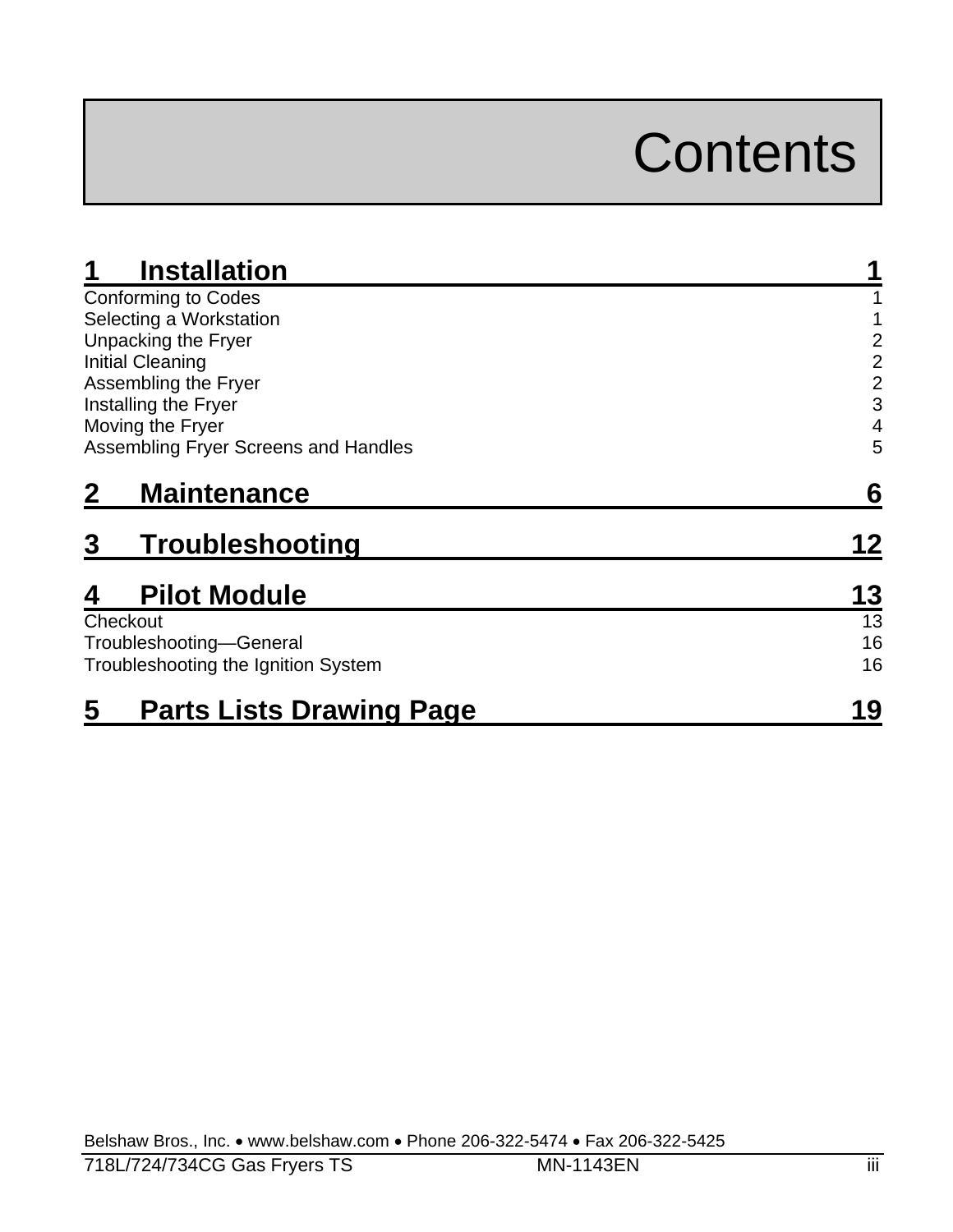# **Contents**

| <b>Installation</b>                  |                |
|--------------------------------------|----------------|
| <b>Conforming to Codes</b>           |                |
| Selecting a Workstation              |                |
| Unpacking the Fryer                  | 2              |
| <b>Initial Cleaning</b>              | $\overline{2}$ |
| Assembling the Fryer                 | $\overline{2}$ |
| Installing the Fryer                 | 3              |
| Moving the Fryer                     | 4              |
| Assembling Fryer Screens and Handles | 5              |
| <b>Maintenance</b>                   | 6              |
| 3<br>Troubleshooting                 | 12             |
| <b>Pilot Module</b><br>4             | 13             |
| Checkout                             | 13             |
| Troubleshooting-General              | 16             |
| Troubleshooting the Ignition System  | 16             |
| 5<br><b>Parts Lists Drawing Page</b> | 19             |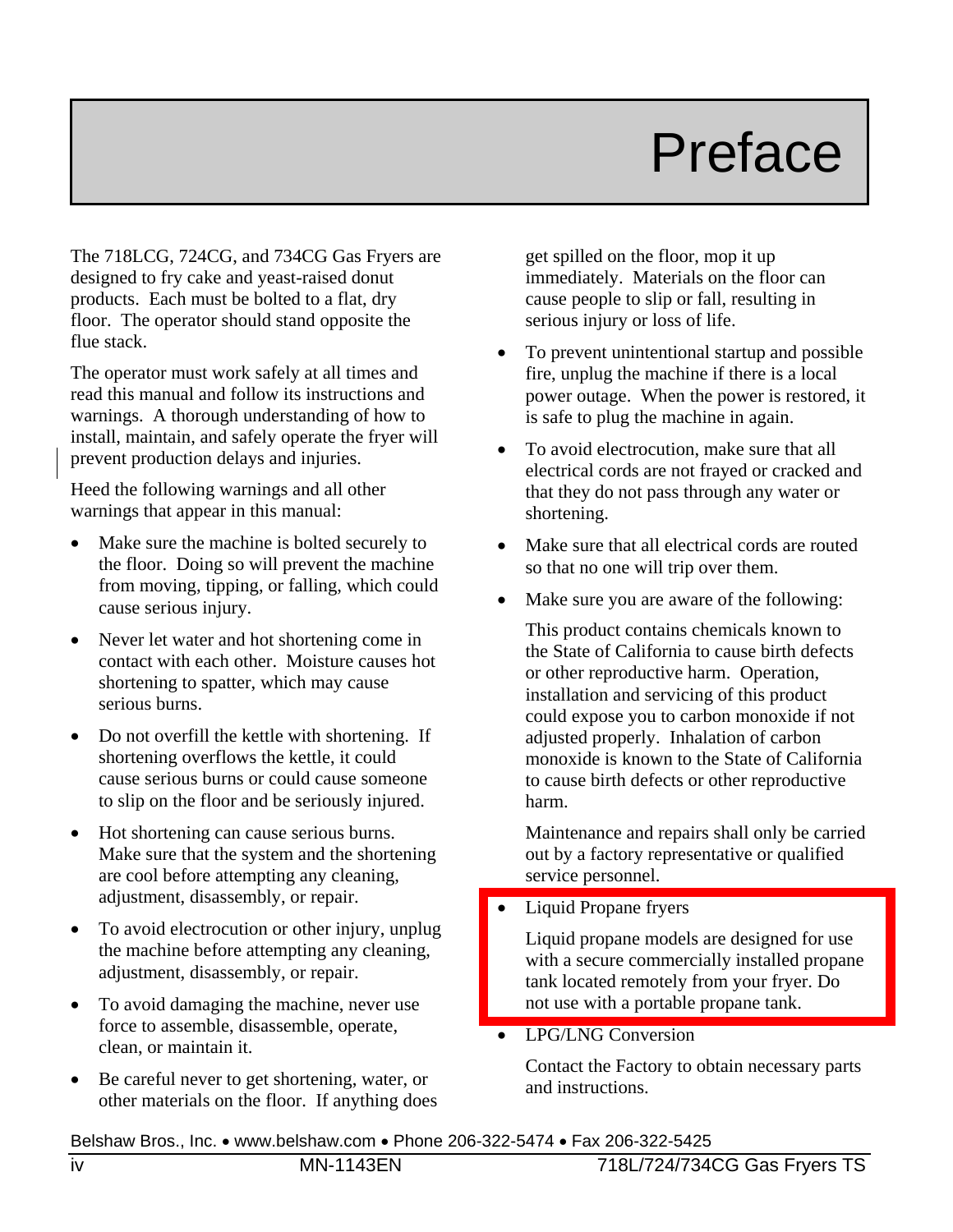# Preface

The 718LCG, 724CG, and 734CG Gas Fryers are designed to fry cake and yeast-raised donut products. Each must be bolted to a flat, dry floor. The operator should stand opposite the flue stack.

The operator must work safely at all times and read this manual and follow its instructions and warnings. A thorough understanding of how to install, maintain, and safely operate the fryer will prevent production delays and injuries.

Heed the following warnings and all other warnings that appear in this manual:

- Make sure the machine is bolted securely to the floor. Doing so will prevent the machine from moving, tipping, or falling, which could cause serious injury.
- Never let water and hot shortening come in contact with each other. Moisture causes hot shortening to spatter, which may cause serious burns.
- Do not overfill the kettle with shortening. If shortening overflows the kettle, it could cause serious burns or could cause someone to slip on the floor and be seriously injured.
- Hot shortening can cause serious burns. Make sure that the system and the shortening are cool before attempting any cleaning, adjustment, disassembly, or repair.
- To avoid electrocution or other injury, unplug the machine before attempting any cleaning, adjustment, disassembly, or repair.
- To avoid damaging the machine, never use force to assemble, disassemble, operate, clean, or maintain it.
- Be careful never to get shortening, water, or other materials on the floor. If anything does

get spilled on the floor, mop it up immediately. Materials on the floor can cause people to slip or fall, resulting in serious injury or loss of life.

- To prevent unintentional startup and possible fire, unplug the machine if there is a local power outage. When the power is restored, it is safe to plug the machine in again.
- To avoid electrocution, make sure that all electrical cords are not frayed or cracked and that they do not pass through any water or shortening.
- Make sure that all electrical cords are routed so that no one will trip over them.
- Make sure you are aware of the following:

This product contains chemicals known to the State of California to cause birth defects or other reproductive harm. Operation, installation and servicing of this product could expose you to carbon monoxide if not adjusted properly. Inhalation of carbon monoxide is known to the State of California to cause birth defects or other reproductive harm.

Maintenance and repairs shall only be carried out by a factory representative or qualified service personnel.

• Liquid Propane fryers

Liquid propane models are designed for use with a secure commercially installed propane tank located remotely from your fryer. Do not use with a portable propane tank.

LPG/LNG Conversion

Contact the Factory to obtain necessary parts and instructions.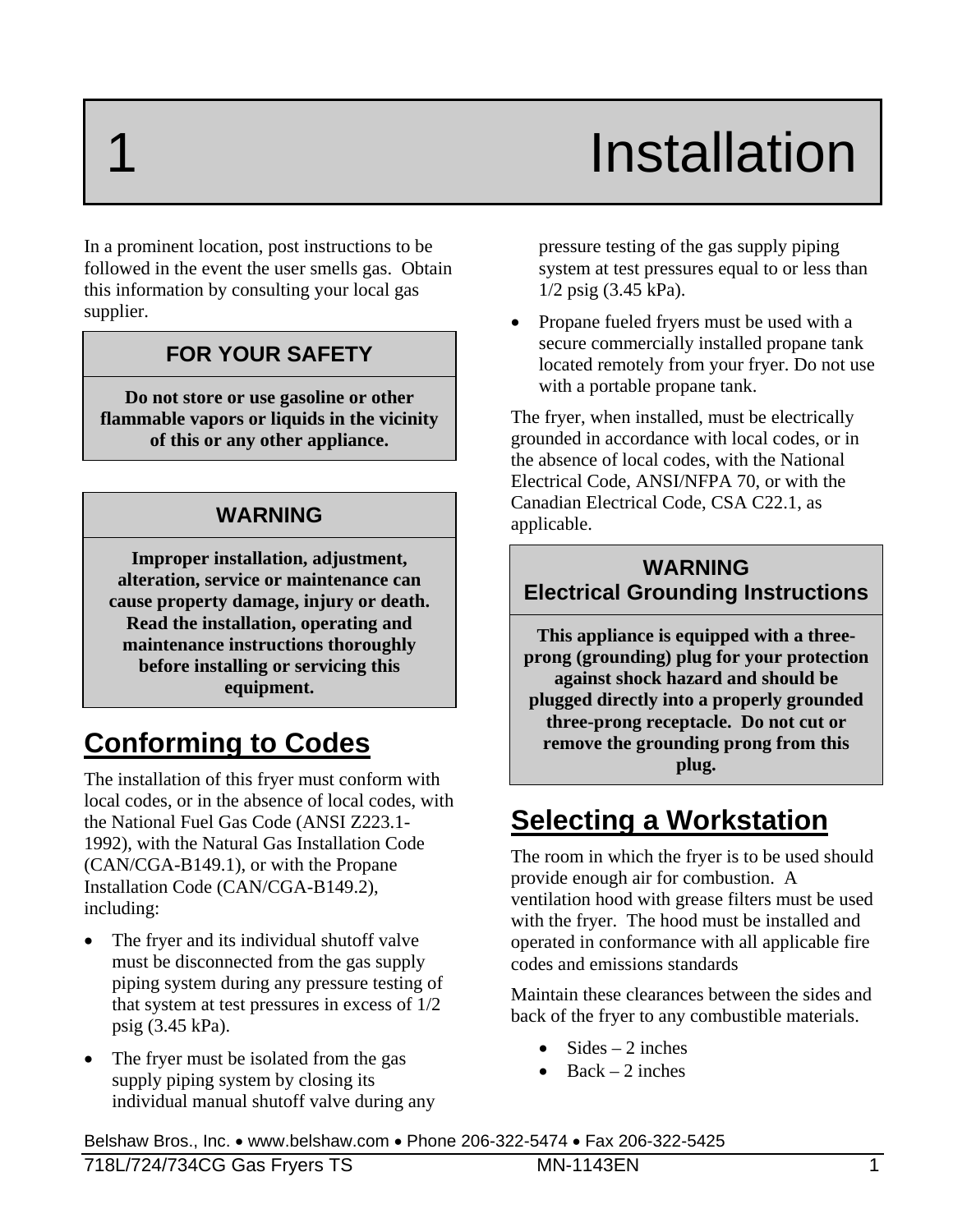# **Installation**

In a prominent location, post instructions to be followed in the event the user smells gas. Obtain this information by consulting your local gas supplier.

#### **FOR YOUR SAFETY**

**Do not store or use gasoline or other flammable vapors or liquids in the vicinity of this or any other appliance.** 

#### **WARNING**

**Improper installation, adjustment, alteration, service or maintenance can cause property damage, injury or death. Read the installation, operating and maintenance instructions thoroughly before installing or servicing this equipment.** 

### **Conforming to Codes**

The installation of this fryer must conform with local codes, or in the absence of local codes, with the National Fuel Gas Code (ANSI Z223.1- 1992), with the Natural Gas Installation Code (CAN/CGA-B149.1), or with the Propane Installation Code (CAN/CGA-B149.2), including:

- The fryer and its individual shutoff valve must be disconnected from the gas supply piping system during any pressure testing of that system at test pressures in excess of 1/2 psig (3.45 kPa).
- The fryer must be isolated from the gas supply piping system by closing its individual manual shutoff valve during any

pressure testing of the gas supply piping system at test pressures equal to or less than 1/2 psig (3.45 kPa).

• Propane fueled fryers must be used with a secure commercially installed propane tank located remotely from your fryer. Do not use with a portable propane tank.

The fryer, when installed, must be electrically grounded in accordance with local codes, or in the absence of local codes, with the National Electrical Code, ANSI/NFPA 70, or with the Canadian Electrical Code, CSA C22.1, as applicable.

#### **WARNING Electrical Grounding Instructions**

**This appliance is equipped with a threeprong (grounding) plug for your protection against shock hazard and should be plugged directly into a properly grounded three-prong receptacle. Do not cut or remove the grounding prong from this plug.** 

### **Selecting a Workstation**

The room in which the fryer is to be used should provide enough air for combustion. A ventilation hood with grease filters must be used with the fryer. The hood must be installed and operated in conformance with all applicable fire codes and emissions standards

Maintain these clearances between the sides and back of the fryer to any combustible materials.

- $Sides = 2 inches$
- $Back 2 inches$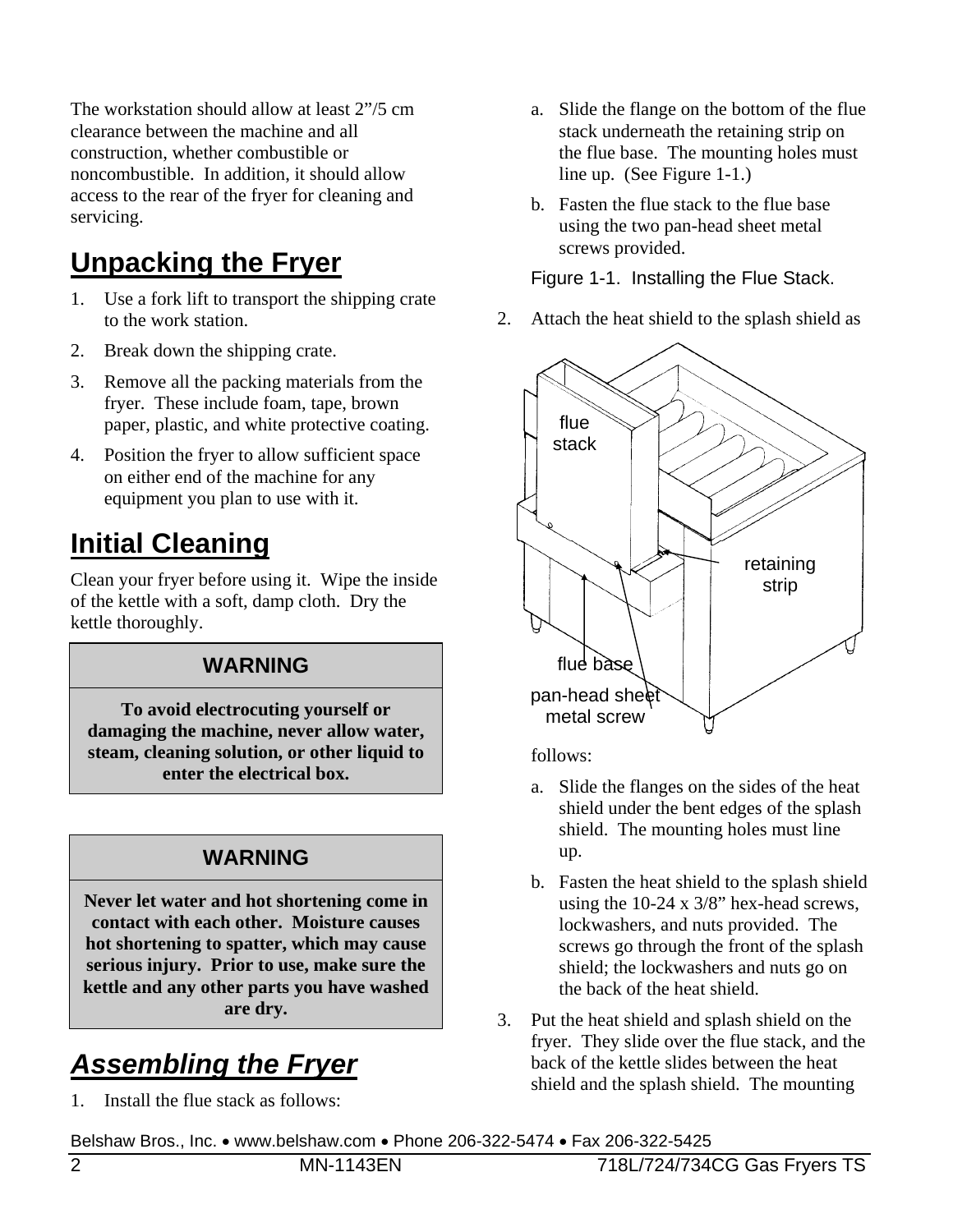The workstation should allow at least 2"/5 cm clearance between the machine and all construction, whether combustible or noncombustible. In addition, it should allow access to the rear of the fryer for cleaning and servicing.

# **Unpacking the Fryer**

- 1. Use a fork lift to transport the shipping crate to the work station.
- 2. Break down the shipping crate.
- 3. Remove all the packing materials from the fryer. These include foam, tape, brown paper, plastic, and white protective coating.
- 4. Position the fryer to allow sufficient space on either end of the machine for any equipment you plan to use with it.

# **Initial Cleaning**

Clean your fryer before using it. Wipe the inside of the kettle with a soft, damp cloth. Dry the kettle thoroughly.

#### **WARNING**

**To avoid electrocuting yourself or damaging the machine, never allow water, steam, cleaning solution, or other liquid to enter the electrical box.** 

#### **WARNING**

**Never let water and hot shortening come in contact with each other. Moisture causes hot shortening to spatter, which may cause serious injury. Prior to use, make sure the kettle and any other parts you have washed are dry.** 

# *Assembling the Fryer*

1. Install the flue stack as follows:

- a. Slide the flange on the bottom of the flue stack underneath the retaining strip on the flue base. The mounting holes must line up. (See Figure 1-1.)
- b. Fasten the flue stack to the flue base using the two pan-head sheet metal screws provided.

#### Figure 1-1. Installing the Flue Stack.

2. Attach the heat shield to the splash shield as



follows:

- a. Slide the flanges on the sides of the heat shield under the bent edges of the splash shield. The mounting holes must line up.
- b. Fasten the heat shield to the splash shield using the 10-24 x 3/8" hex-head screws, lockwashers, and nuts provided. The screws go through the front of the splash shield; the lockwashers and nuts go on the back of the heat shield.
- 3. Put the heat shield and splash shield on the fryer. They slide over the flue stack, and the back of the kettle slides between the heat shield and the splash shield. The mounting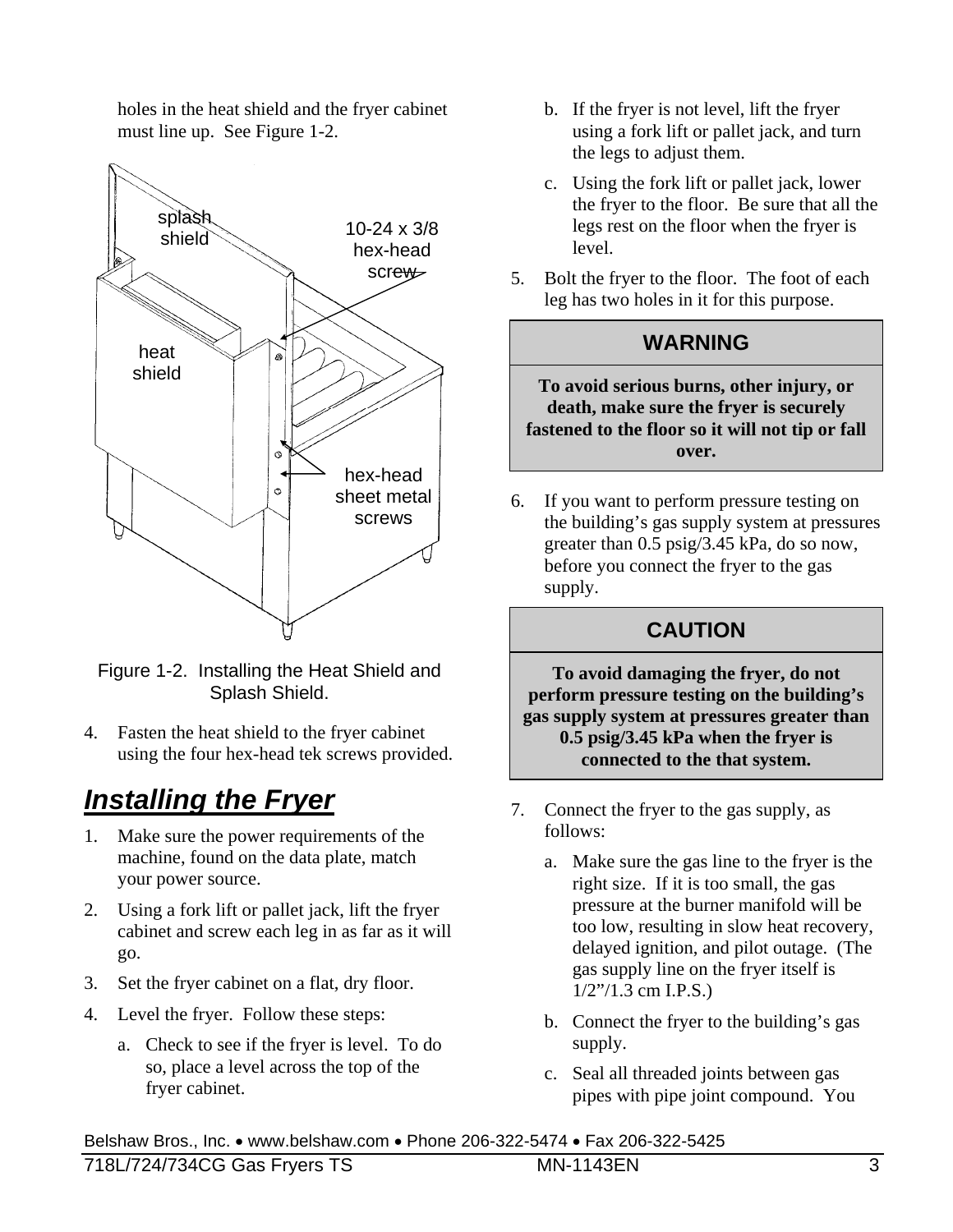holes in the heat shield and the fryer cabinet must line up. See Figure 1-2.



Figure 1-2. Installing the Heat Shield and Splash Shield.

4. Fasten the heat shield to the fryer cabinet using the four hex-head tek screws provided.

# *Installing the Fryer*

- 1. Make sure the power requirements of the machine, found on the data plate, match your power source.
- 2. Using a fork lift or pallet jack, lift the fryer cabinet and screw each leg in as far as it will go.
- 3. Set the fryer cabinet on a flat, dry floor.
- 4. Level the fryer. Follow these steps:
	- a. Check to see if the fryer is level. To do so, place a level across the top of the fryer cabinet.
- b. If the fryer is not level, lift the fryer using a fork lift or pallet jack, and turn the legs to adjust them.
- c. Using the fork lift or pallet jack, lower the fryer to the floor. Be sure that all the legs rest on the floor when the fryer is level.
- 5. Bolt the fryer to the floor. The foot of each leg has two holes in it for this purpose.

#### **WARNING**

**To avoid serious burns, other injury, or death, make sure the fryer is securely fastened to the floor so it will not tip or fall over.** 

6. If you want to perform pressure testing on the building's gas supply system at pressures greater than 0.5 psig/3.45 kPa, do so now, before you connect the fryer to the gas supply.

#### **CAUTION**

**To avoid damaging the fryer, do not perform pressure testing on the building's gas supply system at pressures greater than 0.5 psig/3.45 kPa when the fryer is connected to the that system.** 

- 7. Connect the fryer to the gas supply, as follows:
	- a. Make sure the gas line to the fryer is the right size. If it is too small, the gas pressure at the burner manifold will be too low, resulting in slow heat recovery, delayed ignition, and pilot outage. (The gas supply line on the fryer itself is 1/2"/1.3 cm I.P.S.)
	- b. Connect the fryer to the building's gas supply.
	- c. Seal all threaded joints between gas pipes with pipe joint compound. You

Belshaw Bros., Inc. www.belshaw.com Phone 206-322-5474 Fax 206-322-5425 718L/724/734CG Gas Fryers TS MN-1143EN 3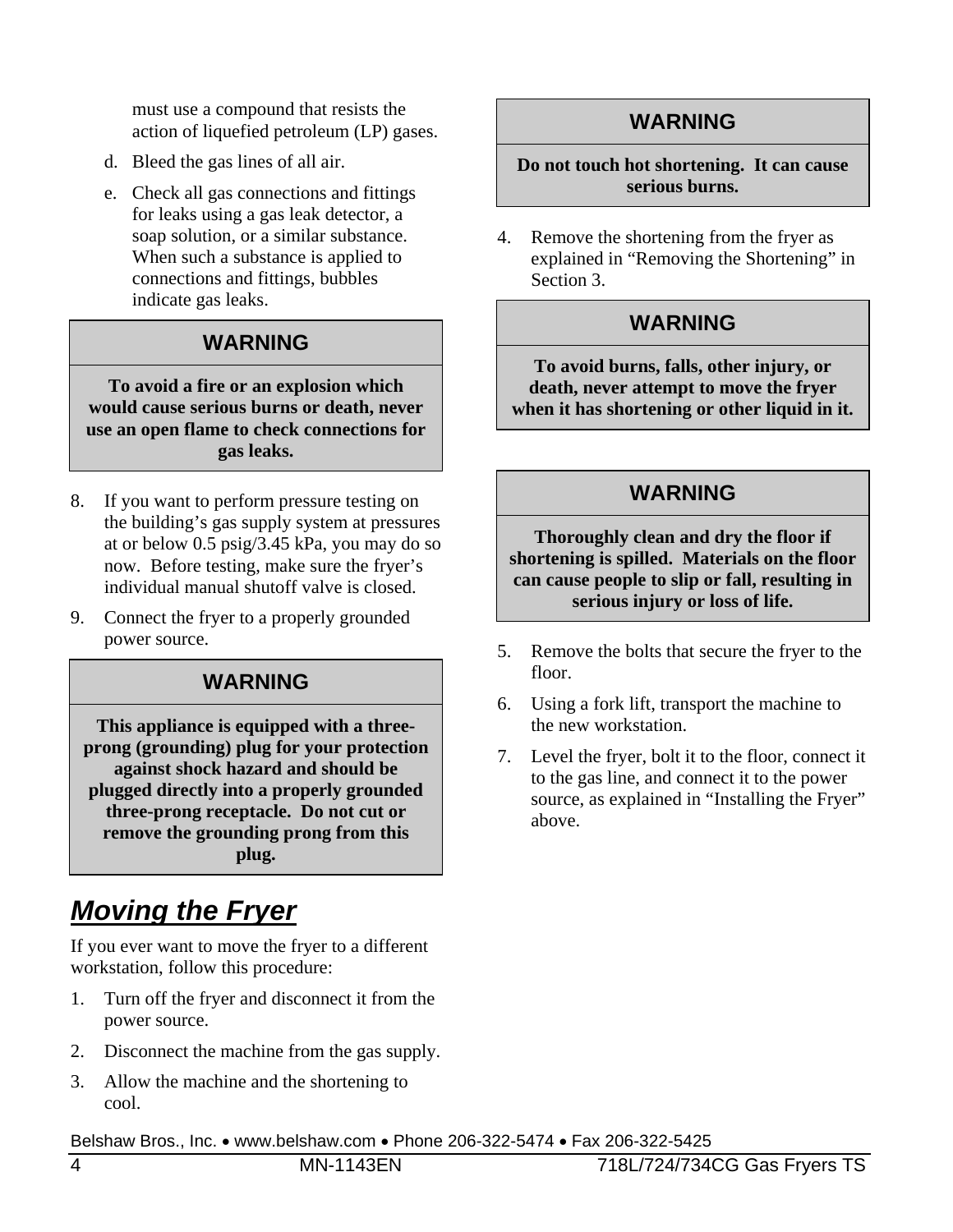must use a compound that resists the action of liquefied petroleum (LP) gases.

- d. Bleed the gas lines of all air.
- e. Check all gas connections and fittings for leaks using a gas leak detector, a soap solution, or a similar substance. When such a substance is applied to connections and fittings, bubbles indicate gas leaks.

#### **WARNING**

**To avoid a fire or an explosion which would cause serious burns or death, never use an open flame to check connections for gas leaks.** 

- 8. If you want to perform pressure testing on the building's gas supply system at pressures at or below 0.5 psig/3.45 kPa, you may do so now. Before testing, make sure the fryer's individual manual shutoff valve is closed.
- 9. Connect the fryer to a properly grounded power source.

#### **WARNING**

**This appliance is equipped with a threeprong (grounding) plug for your protection against shock hazard and should be plugged directly into a properly grounded three-prong receptacle. Do not cut or remove the grounding prong from this plug.** 

# *Moving the Fryer*

If you ever want to move the fryer to a different workstation, follow this procedure:

- 1. Turn off the fryer and disconnect it from the power source.
- 2. Disconnect the machine from the gas supply.
- 3. Allow the machine and the shortening to cool.

Belshaw Bros., Inc. www.belshaw.com Phone 206-322-5474 Fax 206-322-5425

#### **WARNING**

#### **Do not touch hot shortening. It can cause serious burns.**

4. Remove the shortening from the fryer as explained in "Removing the Shortening" in Section 3.

#### **WARNING**

**To avoid burns, falls, other injury, or death, never attempt to move the fryer when it has shortening or other liquid in it.** 

#### **WARNING**

**Thoroughly clean and dry the floor if shortening is spilled. Materials on the floor can cause people to slip or fall, resulting in serious injury or loss of life.** 

- 5. Remove the bolts that secure the fryer to the floor.
- 6. Using a fork lift, transport the machine to the new workstation.
- 7. Level the fryer, bolt it to the floor, connect it to the gas line, and connect it to the power source, as explained in "Installing the Fryer" above.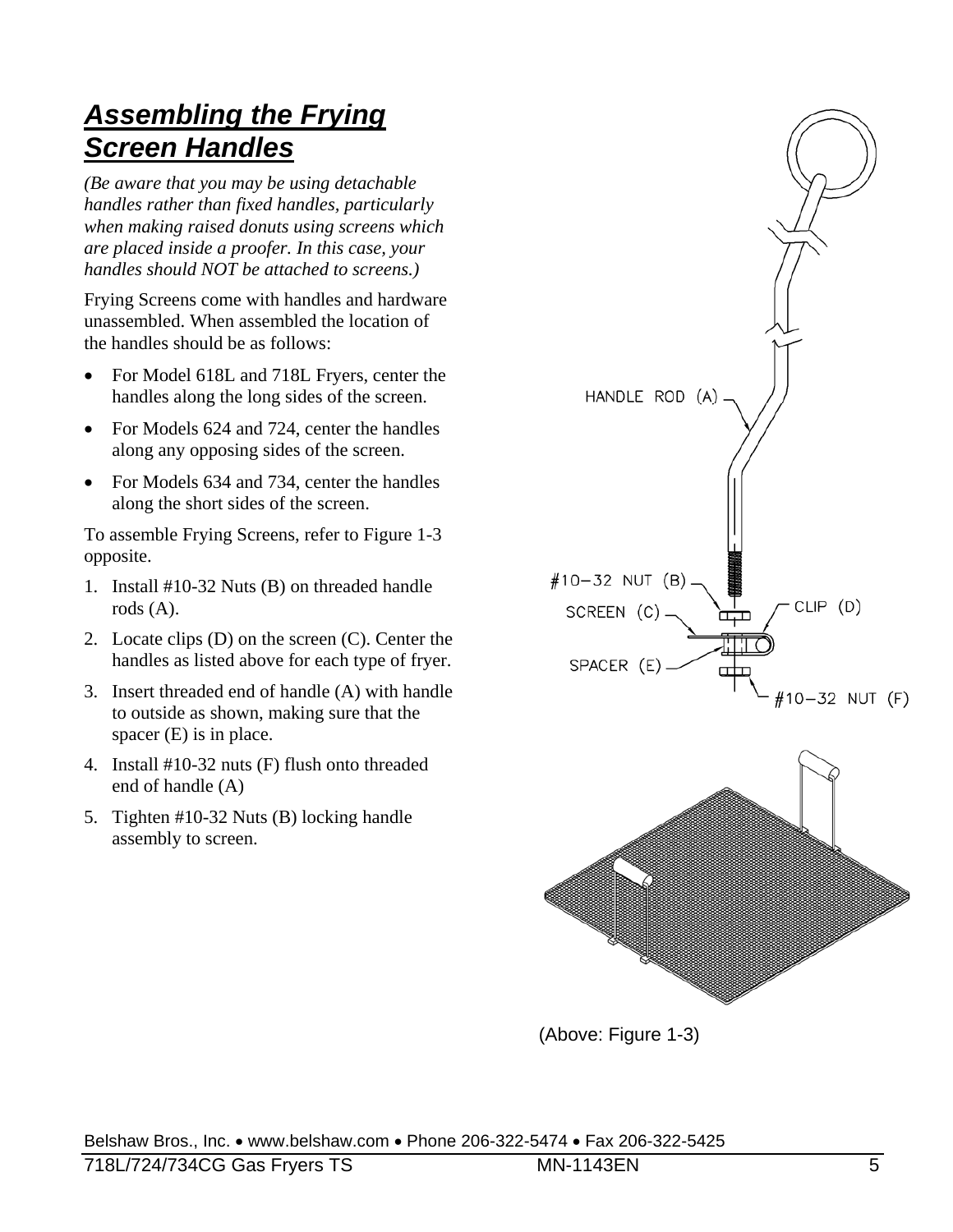### *Assembling the Frying Screen Handles*

*(Be aware that you may be using detachable handles rather than fixed handles, particularly when making raised donuts using screens which are placed inside a proofer. In this case, your handles should NOT be attached to screens.)* 

Frying Screens come with handles and hardware unassembled. When assembled the location of the handles should be as follows:

- For Model 618L and 718L Fryers, center the handles along the long sides of the screen.
- For Models 624 and 724, center the handles along any opposing sides of the screen.
- For Models 634 and 734, center the handles along the short sides of the screen.

To assemble Frying Screens, refer to Figure 1-3 opposite.

- 1. Install #10-32 Nuts (B) on threaded handle rods (A).
- 2. Locate clips (D) on the screen (C). Center the handles as listed above for each type of fryer.
- 3. Insert threaded end of handle (A) with handle to outside as shown, making sure that the spacer (E) is in place.
- 4. Install #10-32 nuts (F) flush onto threaded end of handle (A)
- 5. Tighten #10-32 Nuts (B) locking handle assembly to screen.



(Above: Figure 1-3)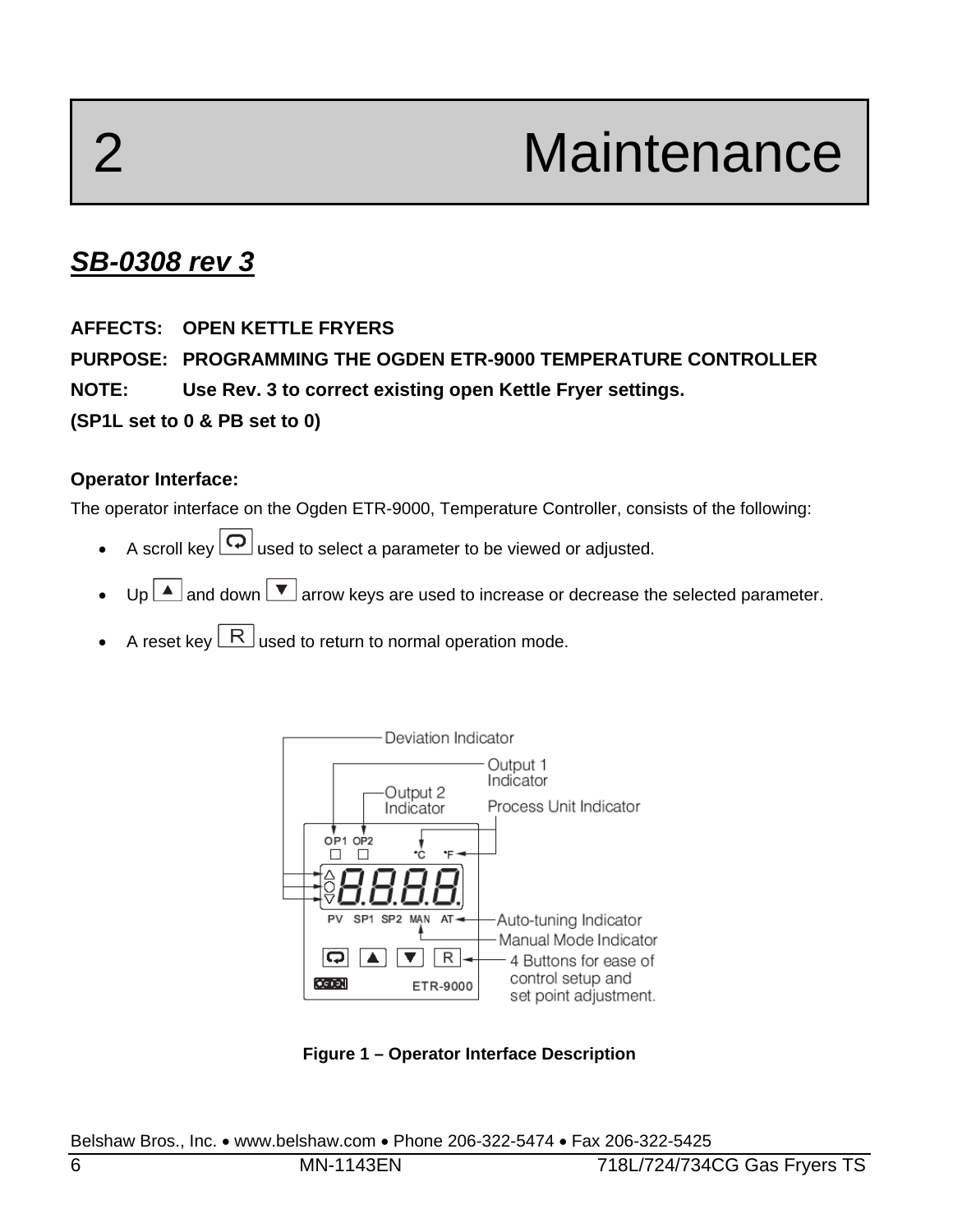# 2 Maintenance

### *SB-0308 rev 3*

#### **AFFECTS: OPEN KETTLE FRYERS**

**PURPOSE: PROGRAMMING THE OGDEN ETR-9000 TEMPERATURE CONTROLLER** 

**NOTE: Use Rev. 3 to correct existing open Kettle Fryer settings.** 

**(SP1L set to 0 & PB set to 0)** 

#### **Operator Interface:**

The operator interface on the Ogden ETR-9000, Temperature Controller, consists of the following:

- A scroll key  $\boxed{\mathbf{Q}}$  used to select a parameter to be viewed or adjusted.
- $U_{p}$  and down  $\vee$  arrow keys are used to increase or decrease the selected parameter.
- A reset key  $\lfloor R \rfloor$  used to return to normal operation mode.



**Figure 1 – Operator Interface Description**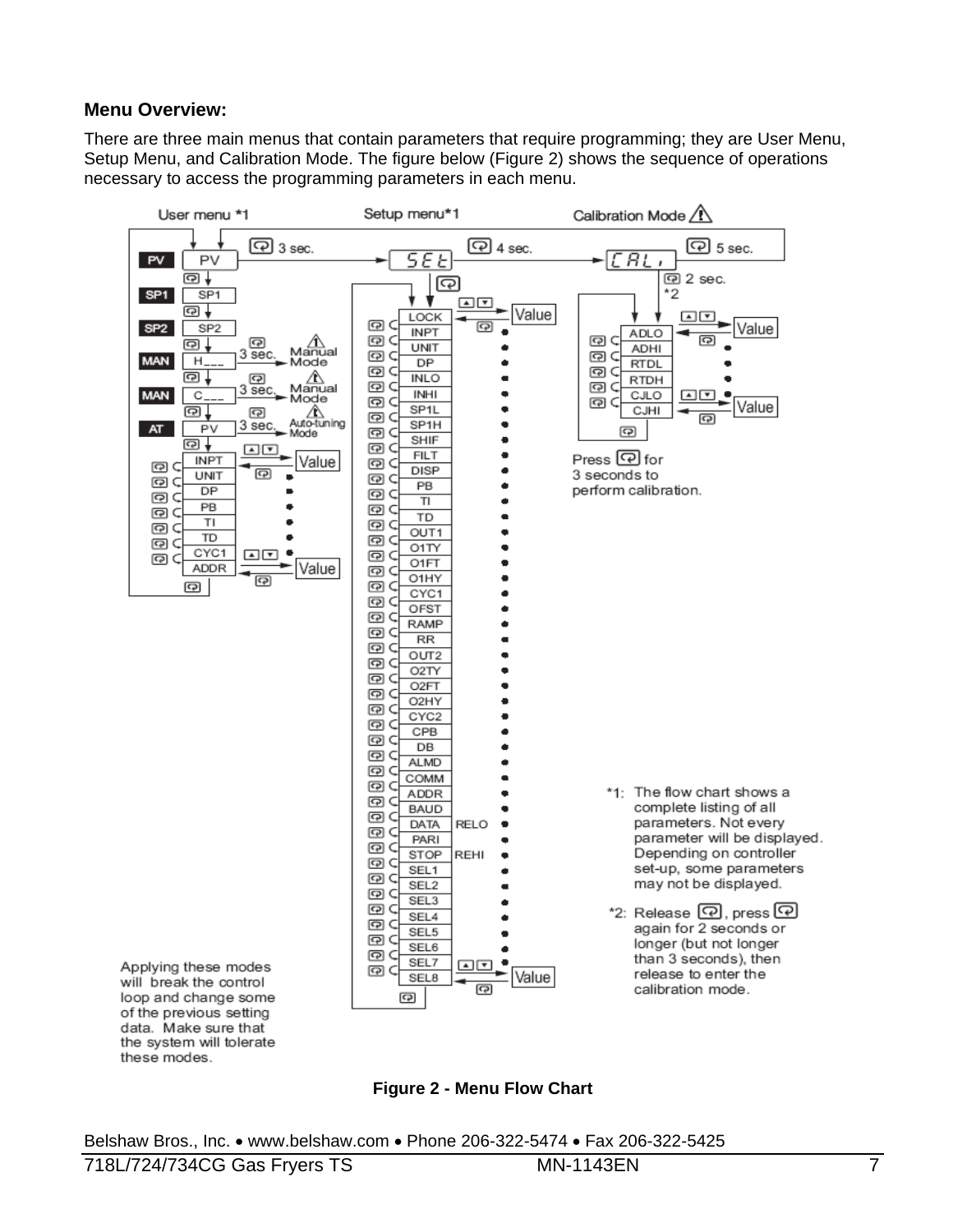#### **Menu Overview:**

There are three main menus that contain parameters that require programming; they are User Menu, Setup Menu, and Calibration Mode. The figure below (Figure 2) shows the sequence of operations necessary to access the programming parameters in each menu.



**Figure 2 - Menu Flow Chart**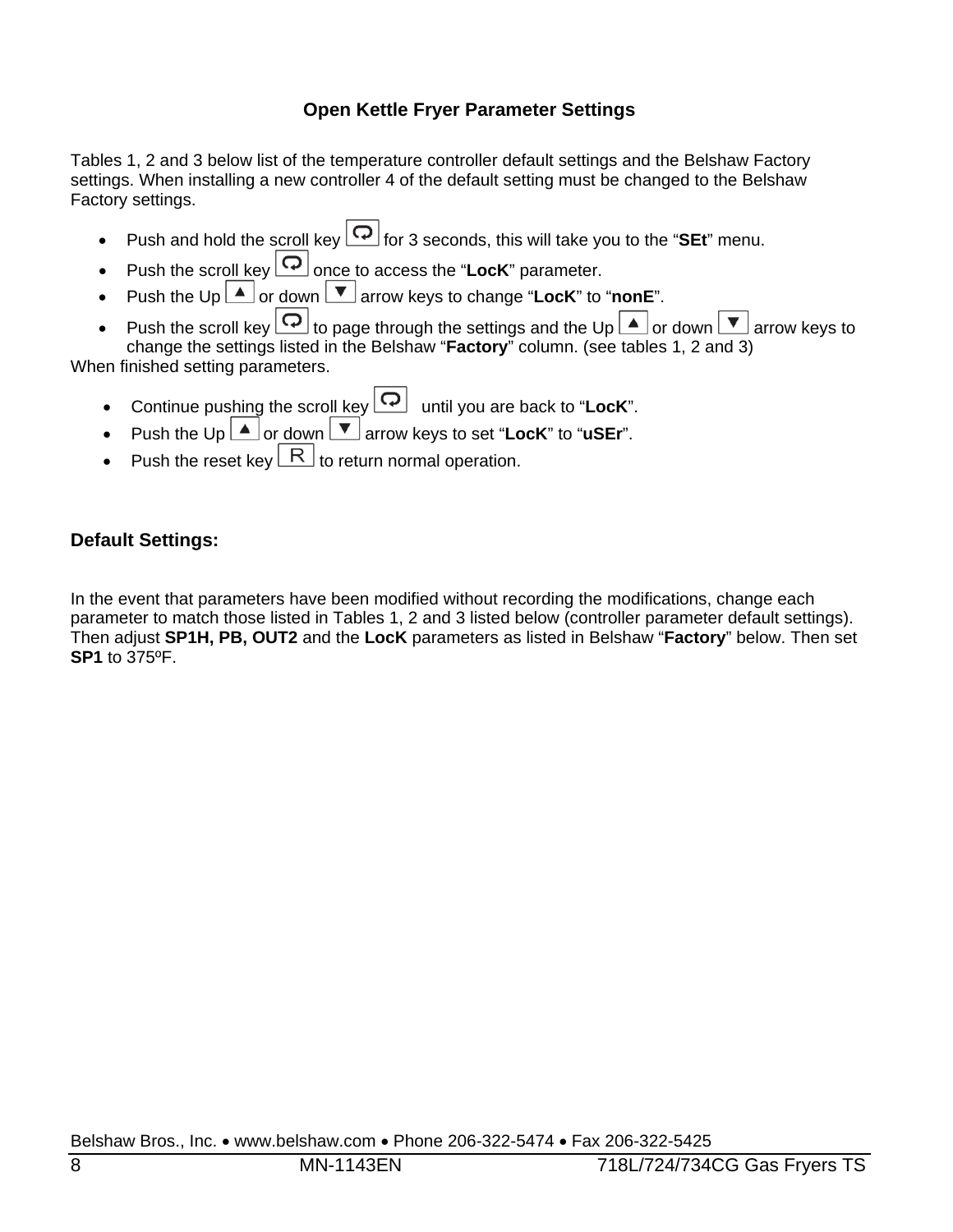#### **Open Kettle Fryer Parameter Settings**

Tables 1, 2 and 3 below list of the temperature controller default settings and the Belshaw Factory settings. When installing a new controller 4 of the default setting must be changed to the Belshaw Factory settings.

- Push and hold the scroll key  $\boxed{\bigcirc}$  for 3 seconds, this will take you to the "SEt" menu.
- Push the scroll key  $\boxed{\bigcirc}$  once to access the "**LocK**" parameter.
- Push the Up  $\triangle$  or down  $\triangledown$  arrow keys to change "**LocK**" to "**nonE**".
- Push the scroll key  $\boxed{\bigcirc}$  to page through the settings and the Up  $\boxed{\blacktriangle}$  or down  $\boxed{\blacktriangledown}$  arrow keys to change the settings listed in the Belshaw "**Factory**" column. (see tables 1, 2 and 3)

When finished setting parameters.

- Continue pushing the scroll key  $\boxed{\mathbf{Q}}$  until you are back to "**LocK**".
- Push the Up  $\boxed{\blacktriangle}$  or down  $\boxed{\blacktriangledown}$  arrow keys to set "**LocK**" to "**uSEr**".
- Push the reset key  $\lfloor R \rfloor$  to return normal operation.

#### **Default Settings:**

In the event that parameters have been modified without recording the modifications, change each parameter to match those listed in Tables 1, 2 and 3 listed below (controller parameter default settings). Then adjust **SP1H, PB, OUT2** and the **LocK** parameters as listed in Belshaw "**Factory**" below. Then set **SP1** to 375ºF.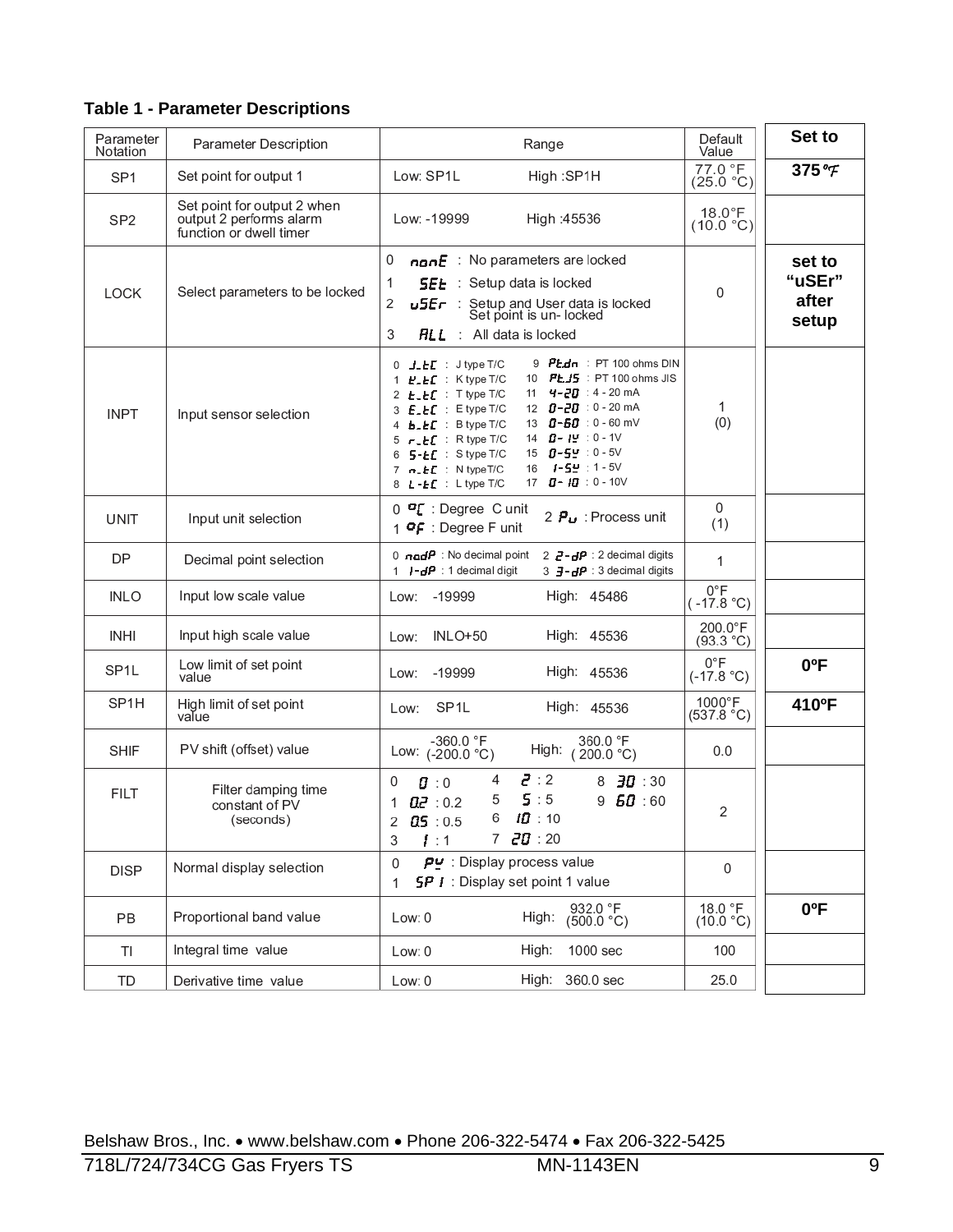**Table 1 - Parameter Descriptions** 

| Parameter         | <b>Parameter Description</b>                                                      | Range                                                                                                                                                                                                                                                                                                                                                                                                                                                                                                                                   | Default                       | Set to                             |
|-------------------|-----------------------------------------------------------------------------------|-----------------------------------------------------------------------------------------------------------------------------------------------------------------------------------------------------------------------------------------------------------------------------------------------------------------------------------------------------------------------------------------------------------------------------------------------------------------------------------------------------------------------------------------|-------------------------------|------------------------------------|
| Notation          |                                                                                   |                                                                                                                                                                                                                                                                                                                                                                                                                                                                                                                                         | Value<br>77.0 °F              |                                    |
| SP <sub>1</sub>   | Set point for output 1                                                            | Low: SP1L<br>High:SP1H                                                                                                                                                                                                                                                                                                                                                                                                                                                                                                                  | (25.0 °C)                     | 375 °F                             |
| SP <sub>2</sub>   | Set point for output 2 when<br>output 2 performs alarm<br>function or dwell timer | Low: -19999<br>High: 45536                                                                                                                                                                                                                                                                                                                                                                                                                                                                                                              | $18.0^{\circ}$ F<br>(10.0 °C) |                                    |
| <b>LOCK</b>       | Select parameters to be locked                                                    | 0<br>nan $E$ : No parameters are locked<br>1<br>: Setup data is locked<br><b>SEE</b><br>2<br>Setup and User data is locked<br>Set point is un-locked<br>u5Er :<br>3<br><b>ALL</b> : All data is locked                                                                                                                                                                                                                                                                                                                                  | 0                             | set to<br>"uSEr"<br>after<br>setup |
| <b>INPT</b>       | Input sensor selection                                                            | 9 $Ptdn$ : PT 100 ohms DIN<br>$0$ J_ $E$ $E$ : Jtype T/C<br>10 <b>PLJ5</b> : PT 100 ohms JIS<br>1 $E$ <sub>-</sub> $E$ : K type T/C<br>11 $4 - 20$ : 4 - 20 mA<br>2 <b>E_EC</b> : T type T/C<br>12 $0 - 20$ : 0 - 20 mA<br>3 E_EC : Etype T/C<br>$0 - 60 : 0 - 60$ mV<br>4 b_EC : B type T/C<br>13<br>$B - 12 : 0 - 10$<br>5 -_ <b>LC</b> : R type T/C<br>14<br>15 $0 - 5 = 0 - 5$<br>6 <b>5-ŁE</b> : Stype T/C<br>1-54 : 1-5V<br>16<br>7 $n$ <sub>-</sub> $E$ : N type T/C<br>17 $\vec{a}$ - $\vec{a}$ : 0 - 10V<br>8 L-LC : Ltype T/C | 1<br>(0)                      |                                    |
| UNIT              | Input unit selection                                                              | $0$ $\sigma$ : Degree C unit<br>Process unit : رہا 2:<br>1 $\mathsf{P} \mathsf{F}$ : Degree F unit                                                                                                                                                                                                                                                                                                                                                                                                                                      | 0<br>(1)                      |                                    |
| DP                | Decimal point selection                                                           | 0 $\mathbf{and} \mathbf{P}$ : No decimal point<br>2 $\overline{e}$ - $\overline{d}$ $\overline{P}$ : 2 decimal digits<br>$I - dP$ : 1 decimal digit<br>3 $\overline{J}$ - $dP$ : 3 decimal digits<br>1                                                                                                                                                                                                                                                                                                                                  | 1                             |                                    |
| <b>INLO</b>       | Input low scale value                                                             | -19999<br>High: 45486<br>Low:                                                                                                                                                                                                                                                                                                                                                                                                                                                                                                           | $0^{\circ}$ F<br>$(-17.8 °C)$ |                                    |
| <b>INHI</b>       | Input high scale value                                                            | <b>INLO+50</b><br>High: 45536<br>Low:                                                                                                                                                                                                                                                                                                                                                                                                                                                                                                   | 200.0°F<br>(93.3 °C)          |                                    |
| SP <sub>1</sub> L | Low limit of set point<br>value                                                   | High: 45536<br>-19999<br>Low:                                                                                                                                                                                                                                                                                                                                                                                                                                                                                                           | $0^{\circ}$ F<br>$(-17.8 °C)$ | $0^{\circ}$ F                      |
| SP <sub>1</sub> H | High limit of set point<br>value                                                  | SP <sub>1</sub> L<br>High: 45536<br>Low:                                                                                                                                                                                                                                                                                                                                                                                                                                                                                                | 1000°F<br>(537.8 °C)          | 410°F                              |
| <b>SHIF</b>       | PV shift (offset) value                                                           | $-360.0 °F$<br>360.0 °F<br>High: (200.0 °C)<br>Low: $(-200.0 °C)$                                                                                                                                                                                                                                                                                                                                                                                                                                                                       | 0.0                           |                                    |
| <b>FILT</b>       | Filter damping time<br>constant of PV<br>(seconds)                                | 5:2<br>4<br>0<br>8 $\frac{30}{10}$ : 30<br>$\boldsymbol{B}$ :0<br>5:5<br>9.60:60<br>5<br>0.2 : 0.2<br>1<br>10:10<br>6<br>2 $0.5 : 0.5$<br>7ZJ:20<br>3<br>1:1                                                                                                                                                                                                                                                                                                                                                                            | 2                             |                                    |
| <b>DISP</b>       | Normal display selection                                                          | $PY$ : Display process value<br>0<br><b>SP I</b> : Display set point 1 value<br>1                                                                                                                                                                                                                                                                                                                                                                                                                                                       | 0                             |                                    |
| PB                | Proportional band value                                                           | 932.0 °F<br>(500.0 °C)<br>High:<br>Low: 0                                                                                                                                                                                                                                                                                                                                                                                                                                                                                               | $18.0 °F$<br>(10.0 °C)        | $0^{\circ}$ F                      |
| ΤI                | Integral time value                                                               | 1000 sec<br>High:<br>Low: 0                                                                                                                                                                                                                                                                                                                                                                                                                                                                                                             | 100                           |                                    |
| TD                | Derivative time value                                                             | High: 360.0 sec<br>Low: 0                                                                                                                                                                                                                                                                                                                                                                                                                                                                                                               | 25.0                          |                                    |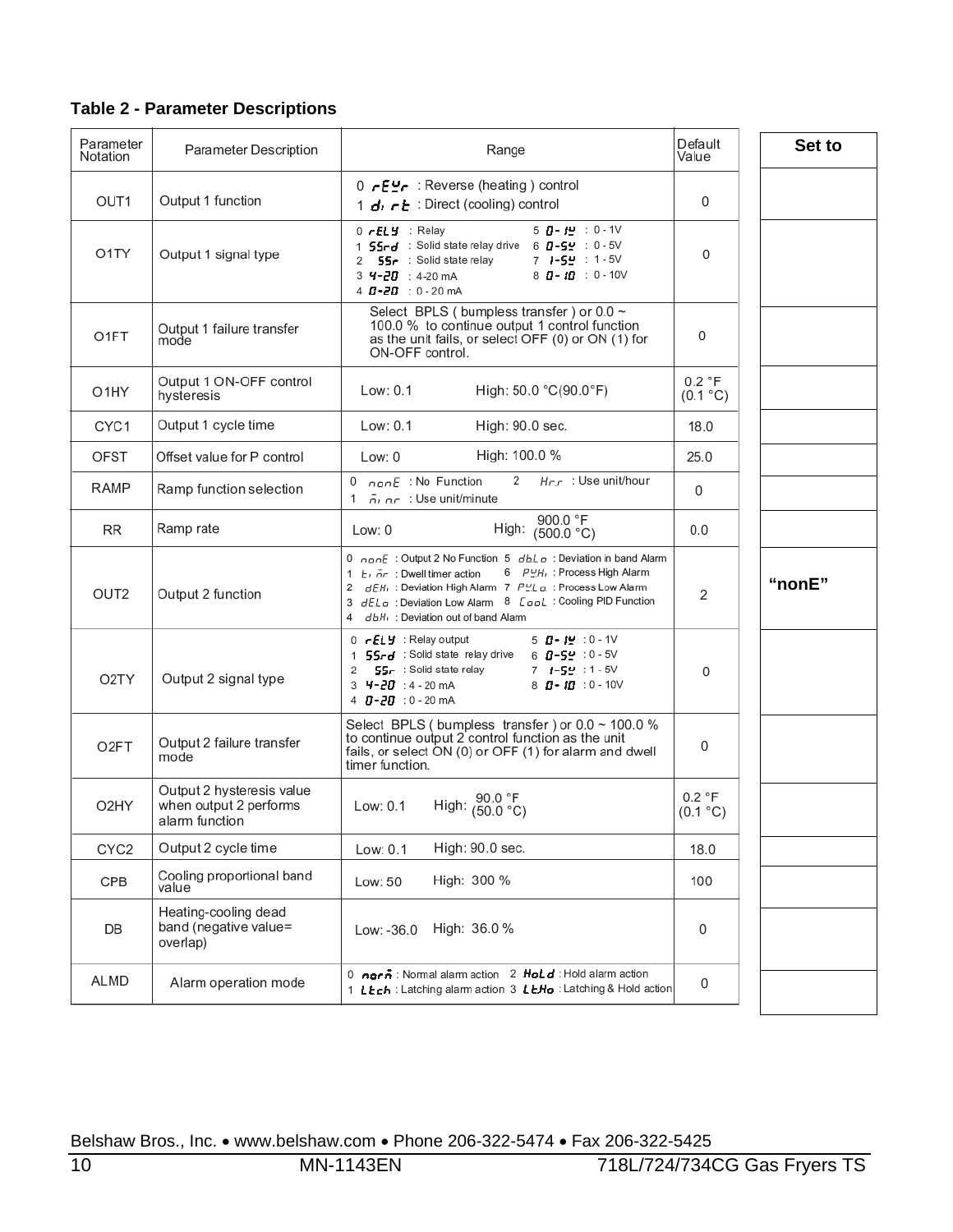|  | <b>Table 2 - Parameter Descriptions</b> |  |  |
|--|-----------------------------------------|--|--|
|--|-----------------------------------------|--|--|

| Parameter<br>Notation | Parameter Description                                                 | Range                                                                                                                                                                                                                                                                                                                                                               | Default<br>Value   | Set to |
|-----------------------|-----------------------------------------------------------------------|---------------------------------------------------------------------------------------------------------------------------------------------------------------------------------------------------------------------------------------------------------------------------------------------------------------------------------------------------------------------|--------------------|--------|
| OUT <sub>1</sub>      | Output 1 function                                                     | C - E יובאַ Reverse (heating) control<br>1 d. c E: Direct (cooling) control                                                                                                                                                                                                                                                                                         | 0                  |        |
| O1TY                  | Output 1 signal type                                                  | $5$ $0 - 12$ : 0 - 1V<br>$0$ $rELY$ : Relay<br>1 SSrd : Solid state relay drive 6 8-SM : 0-5V<br>7 1-54 : 1-5V<br>2 <b>55-</b> : Solid state relay<br>$8$ $1 - 10$ : 0 - 10V<br>3 4-20 : 4-20 mA<br>4 $B - 2B$ : 0 - 20 mA                                                                                                                                          | 0                  |        |
| O1FT                  | Output 1 failure transfer<br>mode                                     | Select BPLS (bumpless transfer) or 0.0 ~<br>100.0 % to continue output 1 control function<br>as the unit fails, or select OFF (0) or ON (1) for<br>ON-OFF control.                                                                                                                                                                                                  | 0                  |        |
| O <sub>1</sub> HY     | Output 1 ON-OFF control<br>hysteresis                                 | High: 50.0 °C(90.0°F)<br>Low: 0.1                                                                                                                                                                                                                                                                                                                                   | 0.2 °F<br>(0.1 °C) |        |
| CYC <sub>1</sub>      | Output 1 cycle time                                                   | Low: 0.1<br>High: 90.0 sec.                                                                                                                                                                                                                                                                                                                                         | 18.0               |        |
| <b>OFST</b>           | Offset value for P control                                            | High: 100.0 %<br>Low: $0$                                                                                                                                                                                                                                                                                                                                           | 25.0               |        |
| RAMP                  | Ramp function selection                                               | $H_{\Gamma}$ : Use unit/hour<br>2<br>1 $\bar{p}_1$ $\bar{p}_2$ : Use unit/minute                                                                                                                                                                                                                                                                                    | 0                  |        |
| <b>RR</b>             | Ramp rate                                                             | 900.0 °F<br>High: (500.0 °C)<br>Low: 0                                                                                                                                                                                                                                                                                                                              | 0.0                |        |
| OUT <sub>2</sub>      | Output 2 function                                                     | 0 $0.000E$ : Output 2 No Function 5 $d h L \rho$ : Deviation in band Alarm<br>6 PUH <sub>1</sub> : Process High Alarm<br>1 $E_1$ , $\bar{n}_r$ : Dwell timer action<br>2 dEH <sub>1</sub> : Deviation High Alarm 7 PLL o : Process Low Alarm<br>3 dEL a : Deviation Low Alarm 8 [opL : Cooling PID Function<br>db.H <sub>1</sub> : Deviation out of band Alarm<br>4 | 2                  | "nonE" |
| O <sub>2</sub> TY     | Output 2 signal type                                                  | $0$ - $EL$ $\vdots$ Relay output<br>5 <b>ฏ- រុម្</b> :0-1V<br>1 <b>55rd</b> : Solid state relay drive<br>$6$ $0 - 52$ : $0 - 50$<br>SS- : Solid state relay<br>$7 + 59 : 1 - 50$<br>2<br>3 <b>4-20</b> :4-20 mA<br>$8$ $\pi$ - $\pi$ : 0 - 10V<br>4 0-20 : 0 - 20 mA                                                                                                | 0                  |        |
| O <sub>2</sub> FT     | Output 2 failure transfer<br>mode                                     | Select BPLS (bumpless transfer) or $0.0 \sim 100.0$ %<br>to continue output 2 control function as the unit<br>fails, or select ON (0) or OFF (1) for alarm and dwell<br>timer function.                                                                                                                                                                             | 0                  |        |
| O <sub>2</sub> HY     | Output 2 hysteresis value<br>when output 2 performs<br>alarm function | High: $\frac{90.0 \text{ }^\circ F}{(50.0 \text{ }^\circ C)}$<br>Low: 0.1                                                                                                                                                                                                                                                                                           | 0.2 °F<br>(0.1 °C) |        |
| CYC <sub>2</sub>      | Output 2 cycle time                                                   | High: 90.0 sec.<br>Low: 0.1                                                                                                                                                                                                                                                                                                                                         | 18.0               |        |
| CPB                   | Cooling proportional band<br>value                                    | High: 300 %<br>Low: 50                                                                                                                                                                                                                                                                                                                                              | 100                |        |
| DB                    | Heating-cooling dead<br>band (negative value=<br>overlap)             | High: 36.0 %<br>Low: -36.0                                                                                                                                                                                                                                                                                                                                          | 0                  |        |
| ALMD                  | Alarm operation mode                                                  | 0 norn <sup>2</sup> : Normal alarm action 2 Hold : Hold alarm action<br>1 LEch : Latching alarm action 3 LEHo : Latching & Hold action                                                                                                                                                                                                                              | 0                  |        |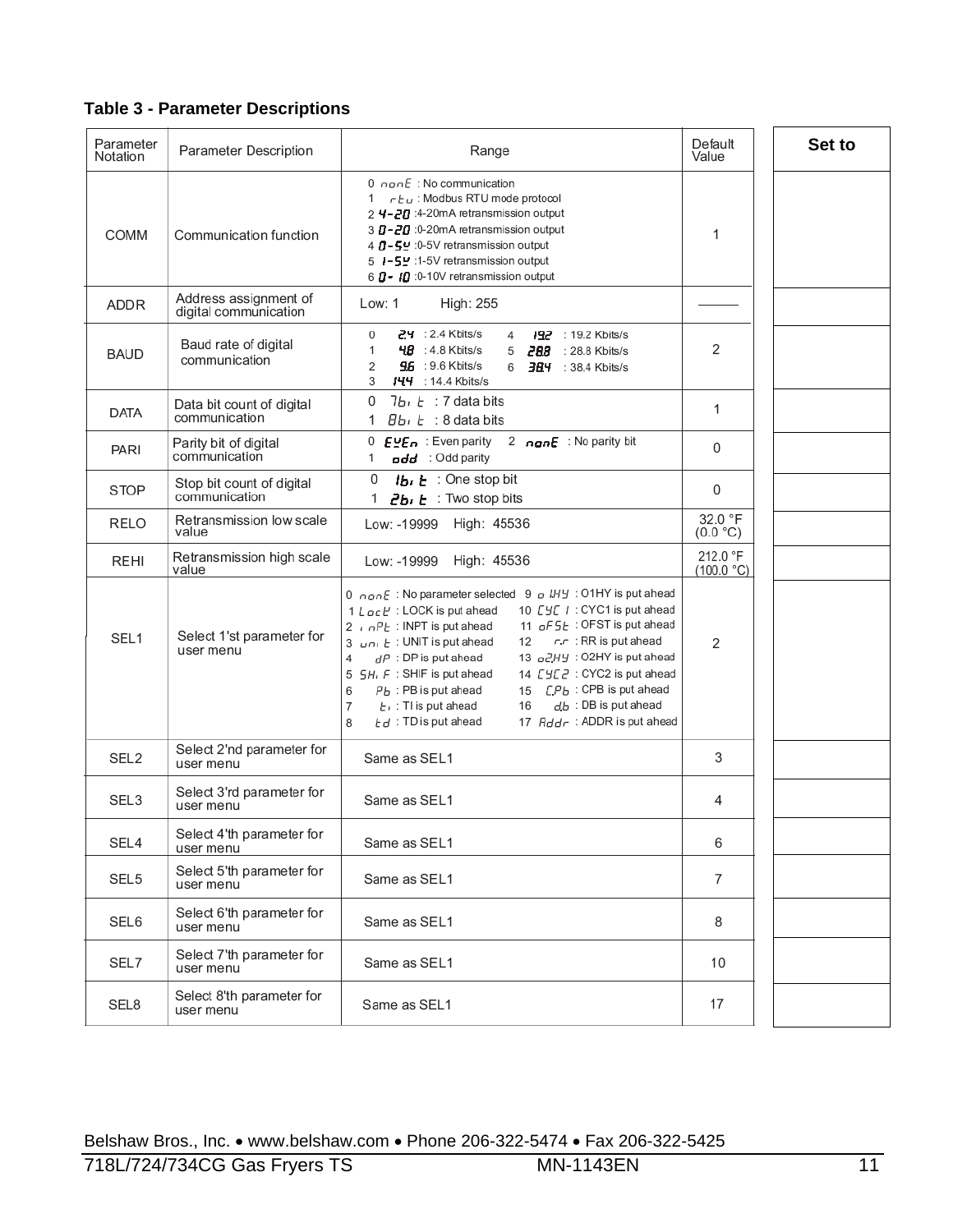#### **Table 3 - Parameter Descriptions**

| Parameter<br>Notation | Parameter Description                          | Range                                                                                                                                                                                                                                                                                                                                                                                                                                                                                                                                                                                                                       | Default<br>Value       | Set to |
|-----------------------|------------------------------------------------|-----------------------------------------------------------------------------------------------------------------------------------------------------------------------------------------------------------------------------------------------------------------------------------------------------------------------------------------------------------------------------------------------------------------------------------------------------------------------------------------------------------------------------------------------------------------------------------------------------------------------------|------------------------|--------|
| COMM                  | Communication function                         | 0 $\cos E$ : No communication<br>1 $r_{\text{L}}$ : Modbus RTU mode protocol<br>2 4-20 :4-20mA retransmission output<br>3 D-20 :0-20mA retransmission output<br>4 0 - 5 - 0-5 V retransmission output<br>5 I-5 -: 1-5V retransmission output<br>6 D - 10 :0-10V retransmission output                                                                                                                                                                                                                                                                                                                                       | 1                      |        |
| ADDR.                 | Address assignment of<br>digital communication | Low: 1<br>High: 255                                                                                                                                                                                                                                                                                                                                                                                                                                                                                                                                                                                                         |                        |        |
| <b>BAUD</b>           | Baud rate of digital<br>communication          | $24 : 2.4$ Kbits/s<br>192 : 19.2 Kbits/s<br>0<br>4<br>$4B$ : 4.8 Kbits/s<br>5 288 : 28.8 Kbits/s<br>1<br><b>96 : 9.6 Kbits/s</b><br>2<br>6 $\frac{344}{10}$ : 38.4 Kbits/s<br>3<br>$144$ : 14.4 Kbits/s                                                                                                                                                                                                                                                                                                                                                                                                                     | 2                      |        |
| <b>DATA</b>           | Data bit count of digital<br>communication     | $7b_1t$ : 7 data bits<br>0<br>1 Bbi E : 8 data bits                                                                                                                                                                                                                                                                                                                                                                                                                                                                                                                                                                         | 1                      |        |
| PARI                  | Parity bit of digital<br>communication         | 0 $EVED$ : Even parity<br>2 nanE : No parity bit<br>add : Odd parity<br>1                                                                                                                                                                                                                                                                                                                                                                                                                                                                                                                                                   | 0                      |        |
| <b>STOP</b>           | Stop bit count of digital<br>communication     | $1b_1 b$ : One stop bit<br>0<br>$2b \cdot b$ : Two stop bits                                                                                                                                                                                                                                                                                                                                                                                                                                                                                                                                                                | 0                      |        |
| RELO                  | Retransmission low scale<br>value              | Low: -19999 High: 45536                                                                                                                                                                                                                                                                                                                                                                                                                                                                                                                                                                                                     | 32.0 °F<br>(0.0 °C)    |        |
| REHI                  | Retransmission high scale<br>value             | Low: -19999<br>High: 45536                                                                                                                                                                                                                                                                                                                                                                                                                                                                                                                                                                                                  | 212.0 °F<br>(100.0 °C) |        |
| SEL <sub>1</sub>      | Select 1'st parameter for<br>user menu         | 0 $\alpha$ on E : No parameter selected 9 o LHY : O1HY is put ahead<br>10 [ Y CYC1 is put ahead<br>1 $L$ $q$ $\in$ $P$ : LOCK is put ahead<br>11 $_0$ F S L: OFST is put ahead<br>2, $nPE$ : INPT is put ahead<br>$r \cdot r$ : RR is put ahead<br>3 $\mu$ n, $E$ : UNIT is put ahead<br>12<br>13 <sub>o</sub> 2HY: O2HY is put ahead<br>$dP$ : DP is put ahead<br>4<br>5 SH, F: SHIF is put ahead<br>14 [ Y L Z : CYC2 is put ahead<br>15 [Pb : CPB is put ahead<br>$Pb$ : PB is put ahead<br>6<br>$db$ : DB is put ahead<br>7<br>$E_1$ : TI is put ahead<br>16<br>$Ed:TD$ is put ahead<br>17 Addr: ADDR is put ahead<br>8 | 2                      |        |
| SEL <sub>2</sub>      | Select 2'nd parameter for<br>user menu         | Same as SEL1                                                                                                                                                                                                                                                                                                                                                                                                                                                                                                                                                                                                                | 3                      |        |
| SEL3                  | Select 3'rd parameter for<br>user menu         | Same as SEL1                                                                                                                                                                                                                                                                                                                                                                                                                                                                                                                                                                                                                | 4                      |        |
| SEL4                  | Select 4'th parameter for<br>user menu         | Same as SEL1                                                                                                                                                                                                                                                                                                                                                                                                                                                                                                                                                                                                                | 6                      |        |
| SEL <sub>5</sub>      | Select 5'th parameter for<br>user menu         | Same as SEL1                                                                                                                                                                                                                                                                                                                                                                                                                                                                                                                                                                                                                | 7                      |        |
| SEL6                  | Select 6'th parameter for<br>user menu         | Same as SEL1                                                                                                                                                                                                                                                                                                                                                                                                                                                                                                                                                                                                                | 8                      |        |
| SEL7                  | Select 7'th parameter for<br>user menu         | Same as SEL1                                                                                                                                                                                                                                                                                                                                                                                                                                                                                                                                                                                                                | 10                     |        |
| SEL8                  | Select 8'th parameter for<br>user menu         | Same as SEL1                                                                                                                                                                                                                                                                                                                                                                                                                                                                                                                                                                                                                | 17                     |        |
|                       |                                                |                                                                                                                                                                                                                                                                                                                                                                                                                                                                                                                                                                                                                             |                        |        |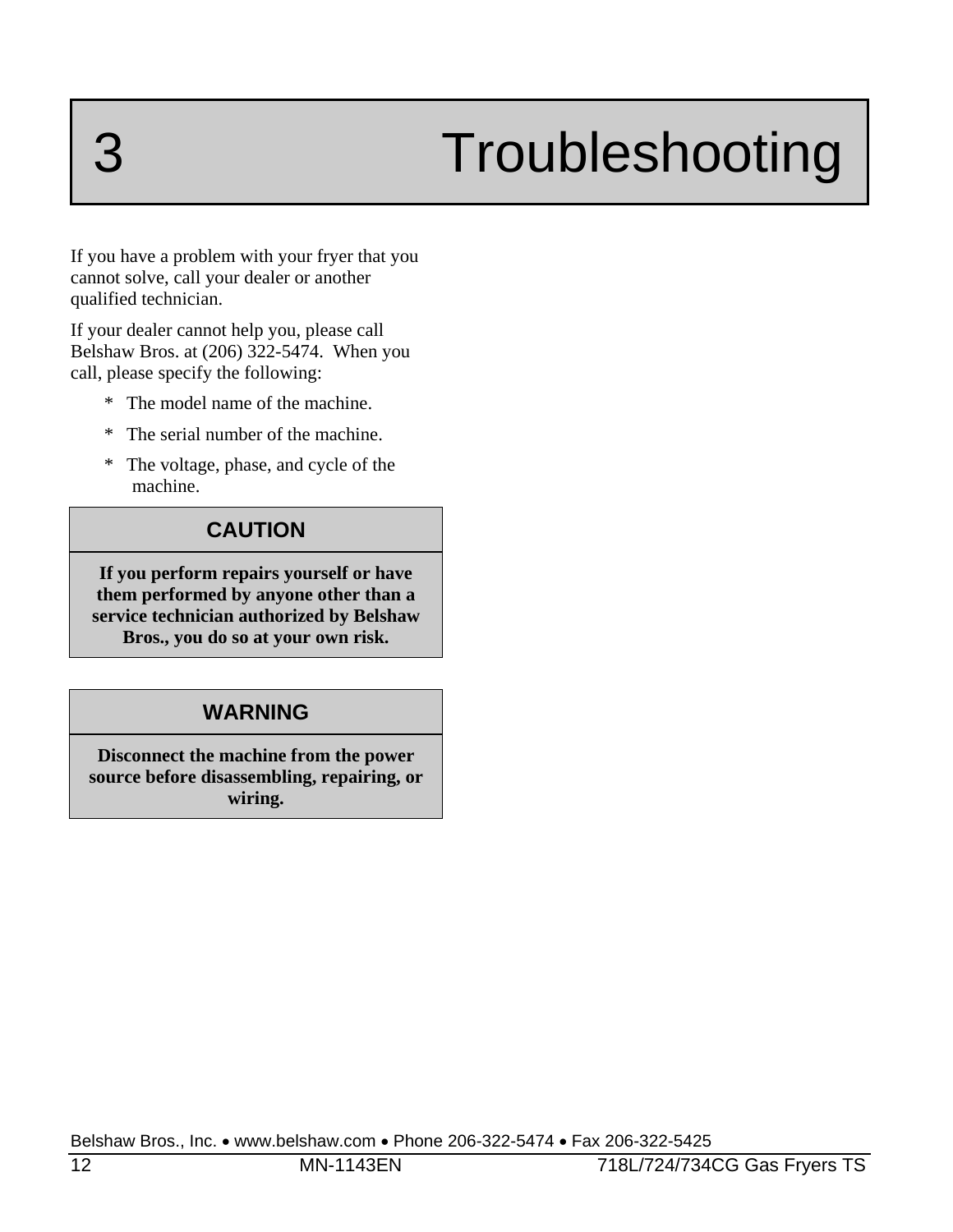# 3 Troubleshooting

If you have a problem with your fryer that you cannot solve, call your dealer or another qualified technician.

If your dealer cannot help you, please call Belshaw Bros. at (206) 322-5474. When you call, please specify the following:

- \* The model name of the machine.
- \* The serial number of the machine.
- \* The voltage, phase, and cycle of the machine.

#### **CAUTION**

**If you perform repairs yourself or have them performed by anyone other than a service technician authorized by Belshaw Bros., you do so at your own risk.** 

#### **WARNING**

**Disconnect the machine from the power source before disassembling, repairing, or wiring.**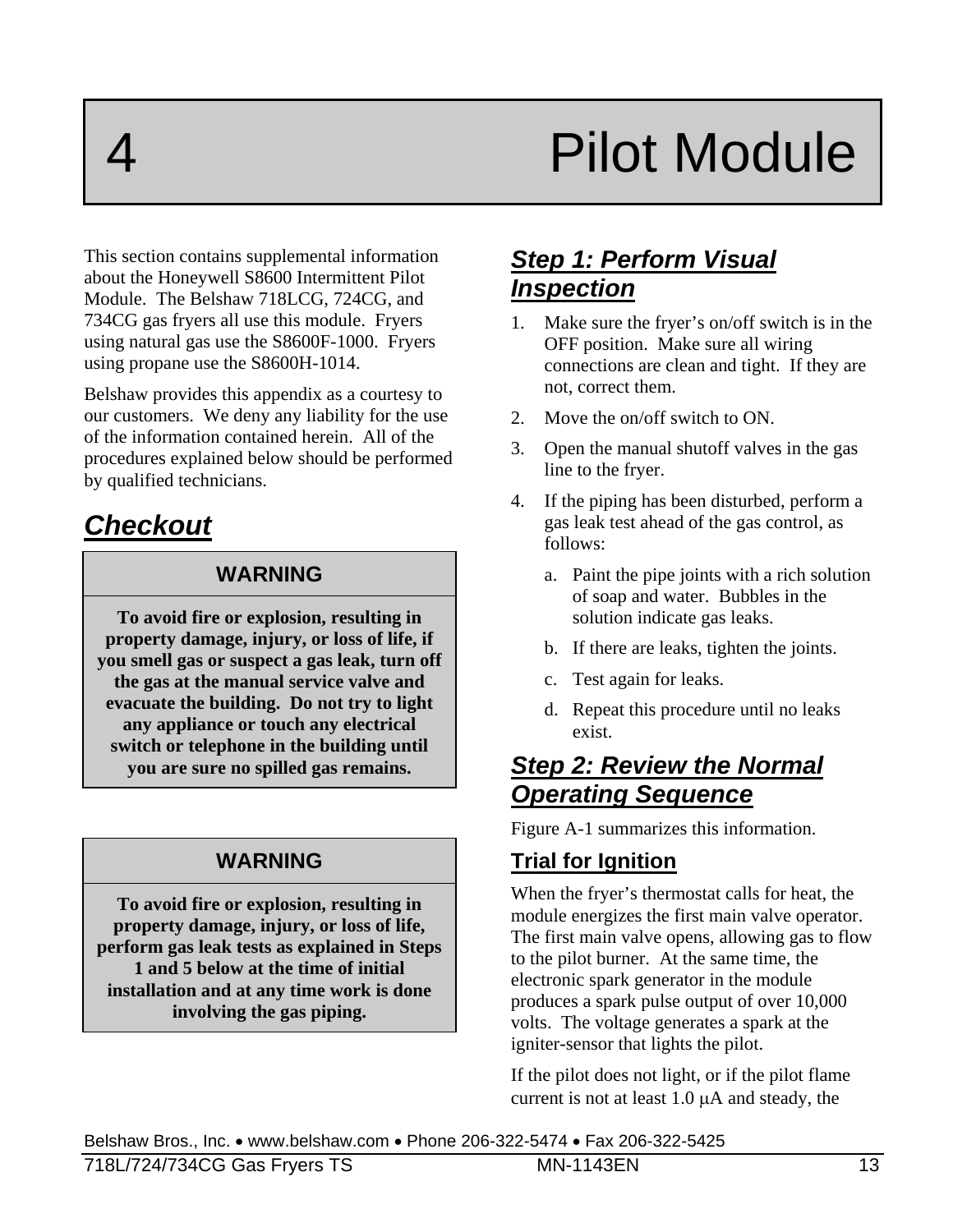# Pilot Module

This section contains supplemental information about the Honeywell S8600 Intermittent Pilot Module. The Belshaw 718LCG, 724CG, and 734CG gas fryers all use this module. Fryers using natural gas use the S8600F-1000. Fryers using propane use the S8600H-1014.

Belshaw provides this appendix as a courtesy to our customers. We deny any liability for the use of the information contained herein. All of the procedures explained below should be performed by qualified technicians.

### *Checkout*

#### **WARNING**

**To avoid fire or explosion, resulting in property damage, injury, or loss of life, if you smell gas or suspect a gas leak, turn off the gas at the manual service valve and evacuate the building. Do not try to light any appliance or touch any electrical switch or telephone in the building until you are sure no spilled gas remains.** 

#### **WARNING**

**To avoid fire or explosion, resulting in property damage, injury, or loss of life, perform gas leak tests as explained in Steps 1 and 5 below at the time of initial installation and at any time work is done involving the gas piping.** 

### *Step 1: Perform Visual Inspection*

- 1. Make sure the fryer's on/off switch is in the OFF position. Make sure all wiring connections are clean and tight. If they are not, correct them.
- 2. Move the on/off switch to ON.
- 3. Open the manual shutoff valves in the gas line to the fryer.
- 4. If the piping has been disturbed, perform a gas leak test ahead of the gas control, as follows:
	- a. Paint the pipe joints with a rich solution of soap and water. Bubbles in the solution indicate gas leaks.
	- b. If there are leaks, tighten the joints.
	- c. Test again for leaks.
	- d. Repeat this procedure until no leaks exist.

#### *Step 2: Review the Normal Operating Sequence*

Figure A-1 summarizes this information.

#### **Trial for Ignition**

When the fryer's thermostat calls for heat, the module energizes the first main valve operator. The first main valve opens, allowing gas to flow to the pilot burner. At the same time, the electronic spark generator in the module produces a spark pulse output of over 10,000 volts. The voltage generates a spark at the igniter-sensor that lights the pilot.

If the pilot does not light, or if the pilot flame current is not at least  $1.0 \mu A$  and steady, the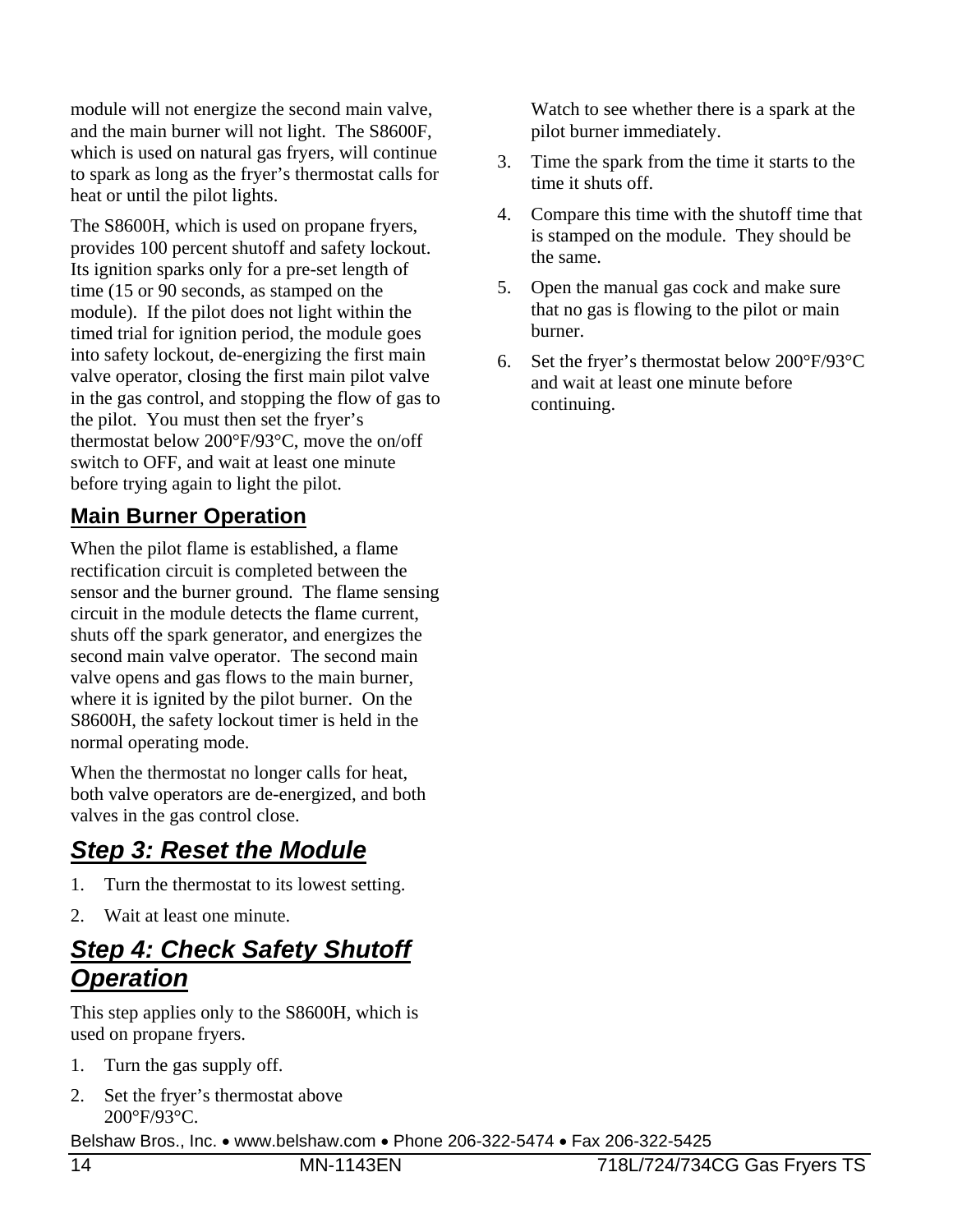module will not energize the second main valve, and the main burner will not light. The S8600F, which is used on natural gas fryers, will continue to spark as long as the fryer's thermostat calls for heat or until the pilot lights.

The S8600H, which is used on propane fryers, provides 100 percent shutoff and safety lockout. Its ignition sparks only for a pre-set length of time (15 or 90 seconds, as stamped on the module). If the pilot does not light within the timed trial for ignition period, the module goes into safety lockout, de-energizing the first main valve operator, closing the first main pilot valve in the gas control, and stopping the flow of gas to the pilot. You must then set the fryer's thermostat below 200°F/93°C, move the on/off switch to OFF, and wait at least one minute before trying again to light the pilot.

#### **Main Burner Operation**

When the pilot flame is established, a flame rectification circuit is completed between the sensor and the burner ground. The flame sensing circuit in the module detects the flame current, shuts off the spark generator, and energizes the second main valve operator. The second main valve opens and gas flows to the main burner, where it is ignited by the pilot burner. On the S8600H, the safety lockout timer is held in the normal operating mode.

When the thermostat no longer calls for heat, both valve operators are de-energized, and both valves in the gas control close.

### *Step 3: Reset the Module*

- 1. Turn the thermostat to its lowest setting.
- 2. Wait at least one minute.

### *Step 4: Check Safety Shutoff Operation*

This step applies only to the S8600H, which is used on propane fryers.

- 1. Turn the gas supply off.
- 2. Set the fryer's thermostat above 200°F/93°C.

Belshaw Bros., Inc. • www.belshaw.com • Phone 206-322-5474 • Fax 206-322-5425

 Watch to see whether there is a spark at the pilot burner immediately.

- 3. Time the spark from the time it starts to the time it shuts off.
- 4. Compare this time with the shutoff time that is stamped on the module. They should be the same.
- 5. Open the manual gas cock and make sure that no gas is flowing to the pilot or main burner.
- 6. Set the fryer's thermostat below 200°F/93°C and wait at least one minute before continuing.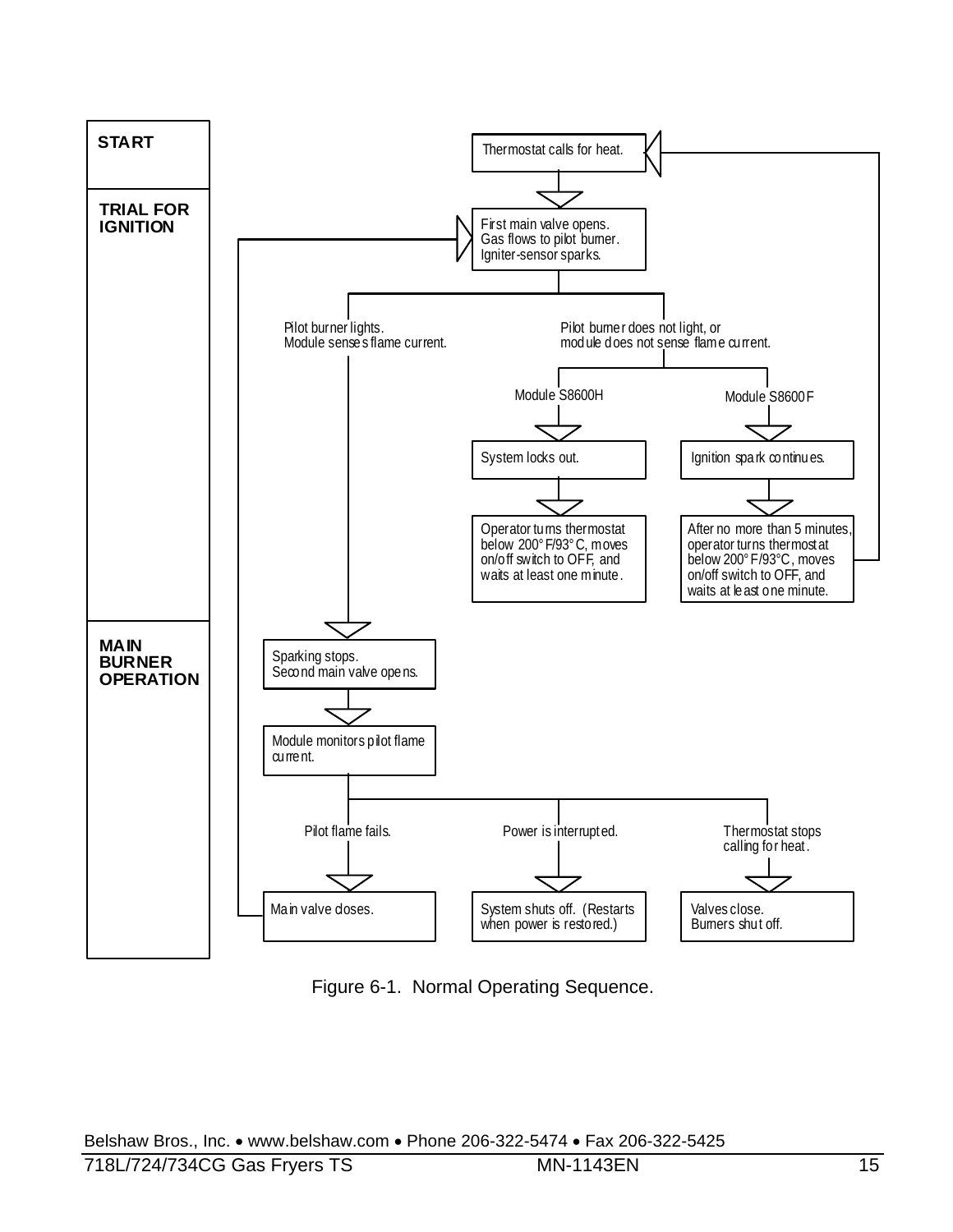

Figure 6-1. Normal Operating Sequence.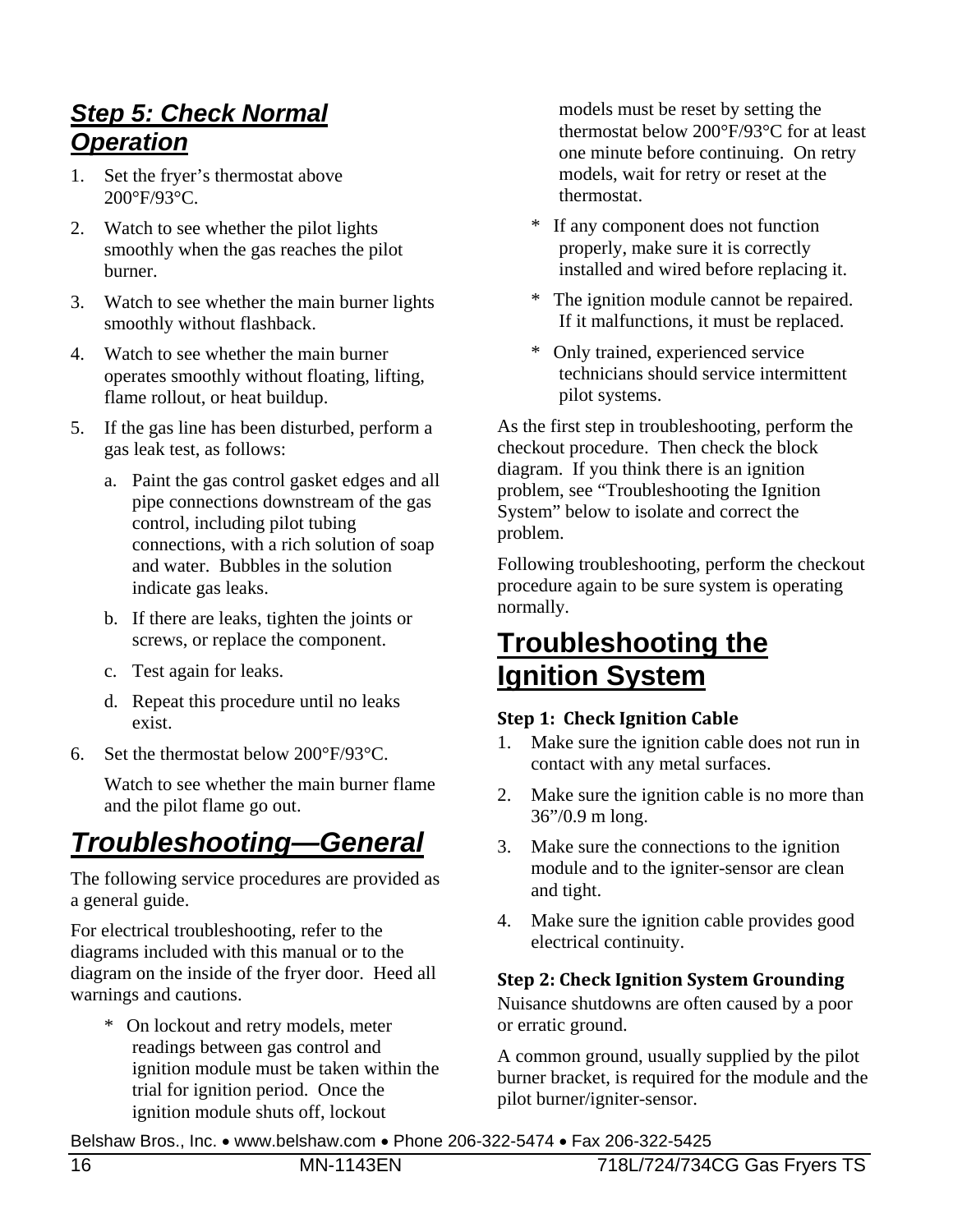### *Step 5: Check Normal Operation*

- 1. Set the fryer's thermostat above 200°F/93°C.
- 2. Watch to see whether the pilot lights smoothly when the gas reaches the pilot burner.
- 3. Watch to see whether the main burner lights smoothly without flashback.
- 4. Watch to see whether the main burner operates smoothly without floating, lifting, flame rollout, or heat buildup.
- 5. If the gas line has been disturbed, perform a gas leak test, as follows:
	- a. Paint the gas control gasket edges and all pipe connections downstream of the gas control, including pilot tubing connections, with a rich solution of soap and water. Bubbles in the solution indicate gas leaks.
	- b. If there are leaks, tighten the joints or screws, or replace the component.
	- c. Test again for leaks.
	- d. Repeat this procedure until no leaks exist.
- 6. Set the thermostat below 200°F/93°C.

 Watch to see whether the main burner flame and the pilot flame go out.

# *Troubleshooting—General*

The following service procedures are provided as a general guide.

For electrical troubleshooting, refer to the diagrams included with this manual or to the diagram on the inside of the fryer door. Heed all warnings and cautions.

\* On lockout and retry models, meter readings between gas control and ignition module must be taken within the trial for ignition period. Once the ignition module shuts off, lockout

models must be reset by setting the thermostat below 200°F/93°C for at least one minute before continuing. On retry models, wait for retry or reset at the thermostat.

- If any component does not function properly, make sure it is correctly installed and wired before replacing it.
- The ignition module cannot be repaired. If it malfunctions, it must be replaced.
- \* Only trained, experienced service technicians should service intermittent pilot systems.

As the first step in troubleshooting, perform the checkout procedure. Then check the block diagram. If you think there is an ignition problem, see "Troubleshooting the Ignition System" below to isolate and correct the problem.

Following troubleshooting, perform the checkout procedure again to be sure system is operating normally.

### **Troubleshooting the Ignition System**

#### **Step 1: Check Ignition Cable**

- 1. Make sure the ignition cable does not run in contact with any metal surfaces.
- 2. Make sure the ignition cable is no more than 36"/0.9 m long.
- 3. Make sure the connections to the ignition module and to the igniter-sensor are clean and tight.
- 4. Make sure the ignition cable provides good electrical continuity.

#### **Step 2: Check Ignition System Grounding**

Nuisance shutdowns are often caused by a poor or erratic ground.

A common ground, usually supplied by the pilot burner bracket, is required for the module and the pilot burner/igniter-sensor.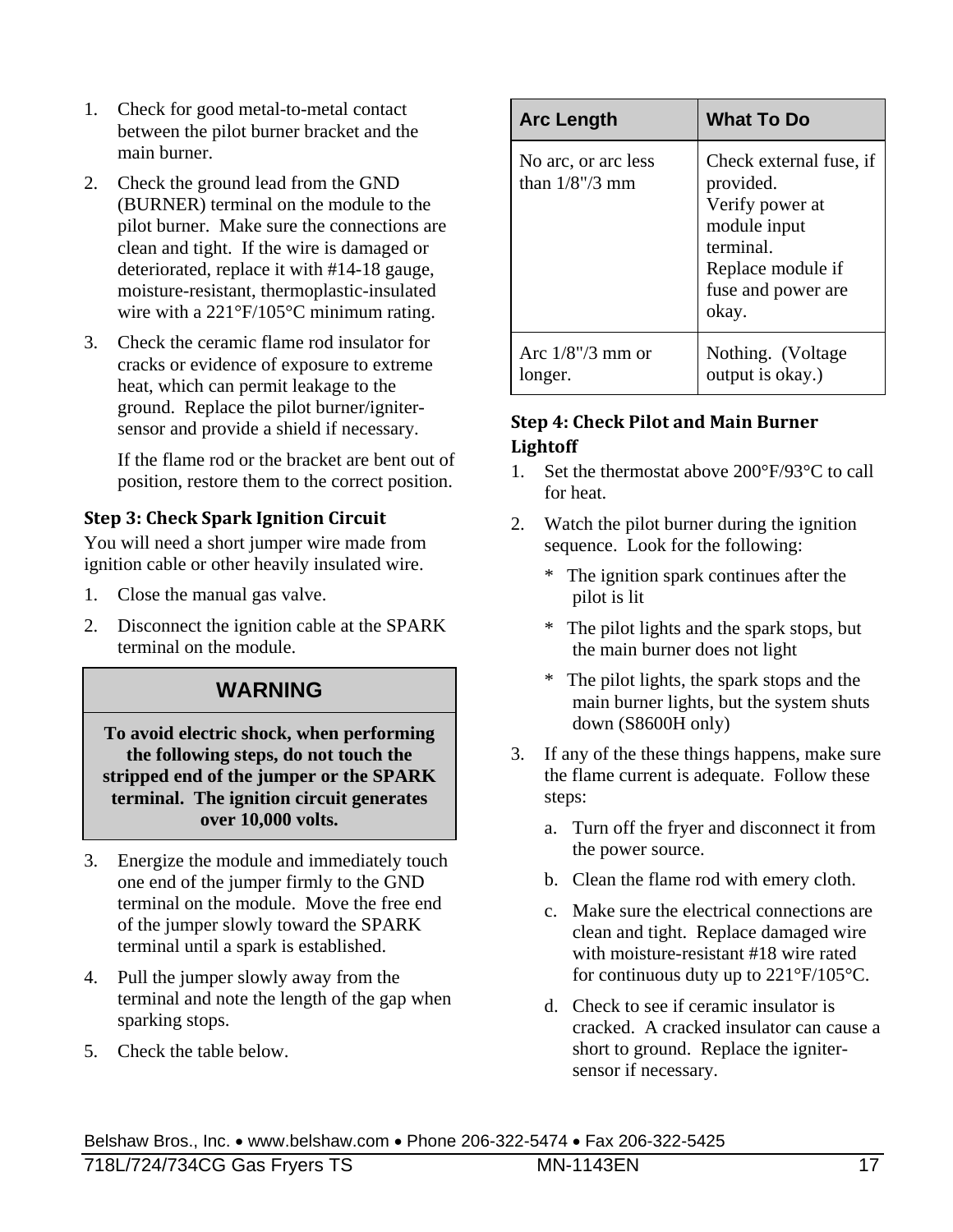- 1. Check for good metal-to-metal contact between the pilot burner bracket and the main burner.
- 2. Check the ground lead from the GND (BURNER) terminal on the module to the pilot burner. Make sure the connections are clean and tight. If the wire is damaged or deteriorated, replace it with #14-18 gauge, moisture-resistant, thermoplastic-insulated wire with a 221°F/105°C minimum rating.
- 3. Check the ceramic flame rod insulator for cracks or evidence of exposure to extreme heat, which can permit leakage to the ground. Replace the pilot burner/ignitersensor and provide a shield if necessary.

 If the flame rod or the bracket are bent out of position, restore them to the correct position.

#### **Step 3: Check Spark Ignition Circuit**

You will need a short jumper wire made from ignition cable or other heavily insulated wire.

- 1. Close the manual gas valve.
- 2. Disconnect the ignition cable at the SPARK terminal on the module.

#### **WARNING**

**To avoid electric shock, when performing the following steps, do not touch the stripped end of the jumper or the SPARK terminal. The ignition circuit generates over 10,000 volts.** 

- 3. Energize the module and immediately touch one end of the jumper firmly to the GND terminal on the module. Move the free end of the jumper slowly toward the SPARK terminal until a spark is established.
- 4. Pull the jumper slowly away from the terminal and note the length of the gap when sparking stops.
- 5. Check the table below.

| <b>Arc Length</b>                        | <b>What To Do</b>                                                                                                                        |
|------------------------------------------|------------------------------------------------------------------------------------------------------------------------------------------|
| No arc, or arc less<br>than $1/8$ "/3 mm | Check external fuse, if<br>provided.<br>Verify power at<br>module input<br>terminal.<br>Replace module if<br>fuse and power are<br>okay. |
| Arc $1/8$ "/3 mm or<br>longer.           | Nothing. (Voltage<br>output is okay.)                                                                                                    |

#### **Step 4: Check Pilot and Main Burner Lightoff**

- 1. Set the thermostat above 200°F/93°C to call for heat.
- 2. Watch the pilot burner during the ignition sequence. Look for the following:
	- \* The ignition spark continues after the pilot is lit
	- \* The pilot lights and the spark stops, but the main burner does not light
	- The pilot lights, the spark stops and the main burner lights, but the system shuts down (S8600H only)
- 3. If any of the these things happens, make sure the flame current is adequate. Follow these steps:
	- a. Turn off the fryer and disconnect it from the power source.
	- b. Clean the flame rod with emery cloth.
	- c. Make sure the electrical connections are clean and tight. Replace damaged wire with moisture-resistant #18 wire rated for continuous duty up to 221°F/105°C.
	- d. Check to see if ceramic insulator is cracked. A cracked insulator can cause a short to ground. Replace the ignitersensor if necessary.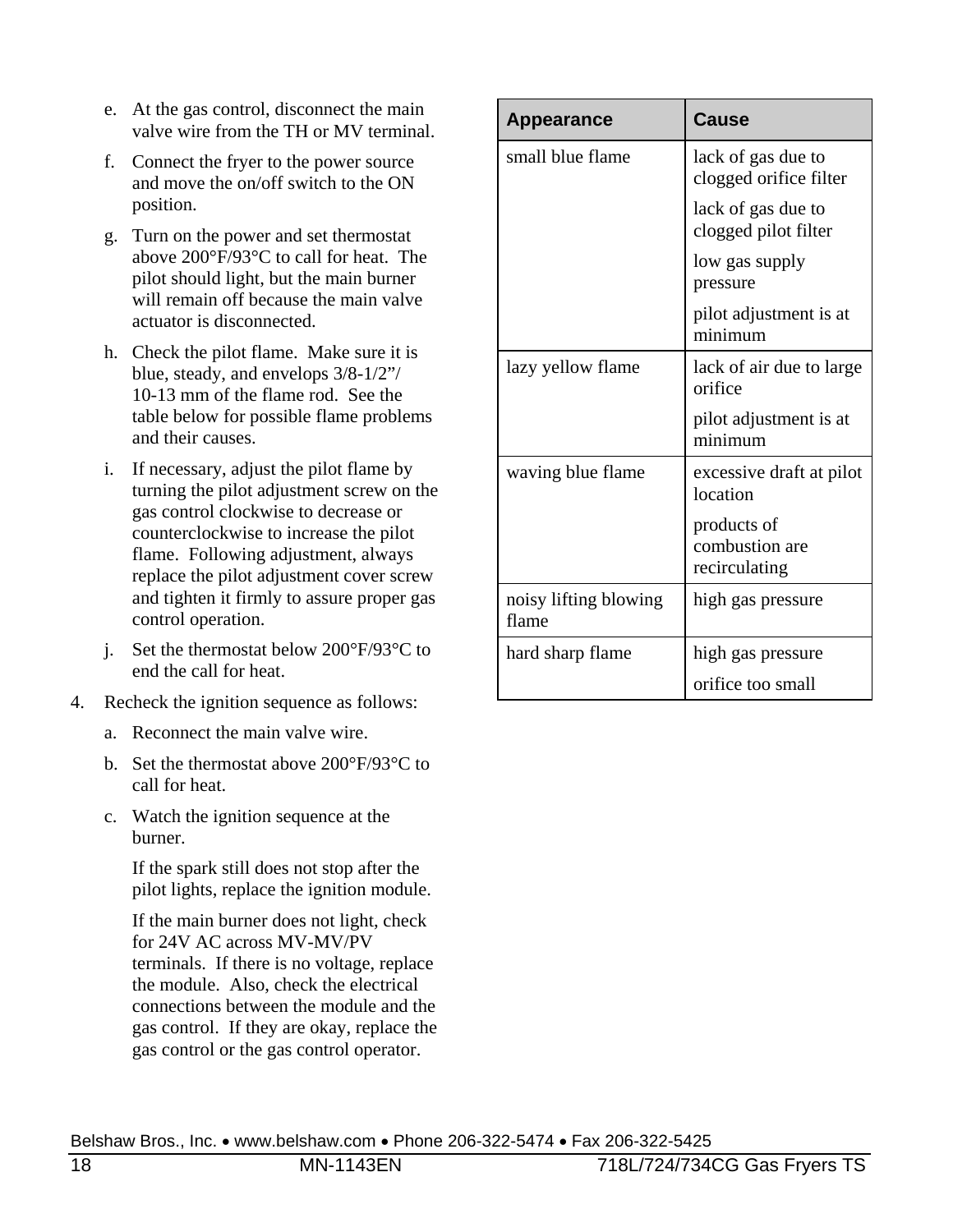- e. At the gas control, disconnect the main valve wire from the TH or MV terminal.
- f. Connect the fryer to the power source and move the on/off switch to the ON position.
- g. Turn on the power and set thermostat above 200°F/93°C to call for heat. The pilot should light, but the main burner will remain off because the main valve actuator is disconnected.
- h. Check the pilot flame. Make sure it is blue, steady, and envelops 3/8-1/2"/ 10-13 mm of the flame rod. See the table below for possible flame problems and their causes.
- i. If necessary, adjust the pilot flame by turning the pilot adjustment screw on the gas control clockwise to decrease or counterclockwise to increase the pilot flame. Following adjustment, always replace the pilot adjustment cover screw and tighten it firmly to assure proper gas control operation.
- j. Set the thermostat below 200°F/93°C to end the call for heat.
- 4. Recheck the ignition sequence as follows:
	- a. Reconnect the main valve wire.
	- b. Set the thermostat above 200°F/93°C to call for heat.
	- c. Watch the ignition sequence at the burner.

 If the spark still does not stop after the pilot lights, replace the ignition module.

 If the main burner does not light, check for 24V AC across MV-MV/PV terminals. If there is no voltage, replace the module. Also, check the electrical connections between the module and the gas control. If they are okay, replace the gas control or the gas control operator.

| <b>Appearance</b>              | <b>Cause</b>                                   |
|--------------------------------|------------------------------------------------|
| small blue flame               | lack of gas due to<br>clogged orifice filter   |
|                                | lack of gas due to<br>clogged pilot filter     |
|                                | low gas supply<br>pressure                     |
|                                | pilot adjustment is at<br>minimum              |
| lazy yellow flame              | lack of air due to large<br>orifice            |
|                                | pilot adjustment is at<br>minimum              |
| waving blue flame              | excessive draft at pilot<br>location           |
|                                | products of<br>combustion are<br>recirculating |
| noisy lifting blowing<br>flame | high gas pressure                              |
| hard sharp flame               | high gas pressure                              |
|                                | orifice too small                              |